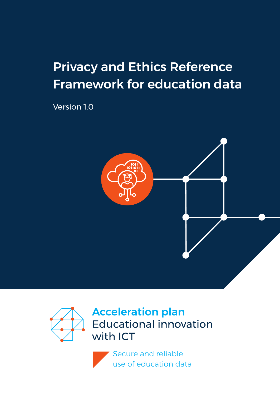# Privacy and Ethics Reference Framework for education data

Version 1.0





Secure and reliable use of education data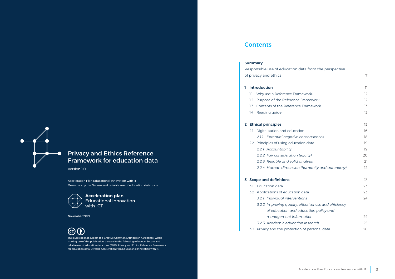

### Privacy and Ethics Reference Framework for education data

Version 1.0

Acceleration Plan Educational Innovation with IT – Drawn up by the Secure and reliable use of education data zone



**Acceleration plan**<br>Educational innovation with ICT

November 2021



This publication is subject to a Creative Commons Attribution 4.0 licence. When making use of this publication, please cite the following reference: Secure and reliable use of education data zone (2021). Privacy and Ethics Reference Framework for education data. Utrecht: Acceleration Plan Educational Innovation with IT.

### **Contents**

| <b>Summary</b> |  |  |  |
|----------------|--|--|--|
|----------------|--|--|--|

|   |     | Responsible use of education data from the perspective |    |
|---|-----|--------------------------------------------------------|----|
|   |     | of privacy and ethics                                  | 7  |
| 1 |     | <b>Introduction</b>                                    | 11 |
|   |     |                                                        |    |
|   | 1.1 | Why use a Reference Framework?                         | 12 |
|   | 1.2 | Purpose of the Reference Framework                     | 12 |
|   | 1.3 | Contents of the Reference Framework                    | 13 |
|   | 1.4 | Reading guide                                          | 13 |
|   |     | 2 Ethical principles                                   | 15 |
|   | 2.1 | Digitalisation and education                           | 16 |
|   |     | 2.1.1 Potential negative consequences                  | 18 |
|   |     | 2.2 Principles of using education data                 | 19 |
|   |     | 2.2.1 Accountability                                   | 19 |
|   |     | 2.2.2 Fair consideration (equity)                      | 20 |
|   |     | 2.2.3 Reliable and valid analysis                      | 21 |
|   |     | 2.2.4 Human dimension (humanity and autonomy)          | 22 |
|   |     | 3 Scope and definitions                                | 23 |
|   | 31  | <b>Education data</b>                                  | 23 |
|   |     | 3.2 Applications of education data                     | 23 |
|   |     | 3.2.1 Individual interventions                         | 24 |
|   |     | 3.2.2 Improving quality, effectiveness and efficiency  |    |
|   |     | of education and education policy and                  |    |
|   |     | management information                                 | 24 |
|   |     | 3.2.3 Academic education research                      | 25 |
|   | 3.3 | Privacy and the protection of personal data            | 26 |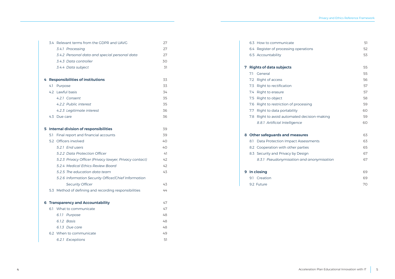|    |     | 3.4 Relevant terms from the GDPR and UAVG               | 27 |
|----|-----|---------------------------------------------------------|----|
|    |     | 3.4.1 Processing                                        | 27 |
|    |     | 3.4.2 Personal data and special personal data           | 27 |
|    |     | 3.4.3 Data controller                                   | 30 |
|    |     | 3.4.4 Data subject                                      | 31 |
|    |     | 4 Responsibilities of institutions                      | 33 |
|    |     | 4.1 Purpose                                             | 33 |
|    |     | 4.2 Lawful basis                                        | 34 |
|    |     | 4.2.1 Consent                                           | 35 |
|    |     | 4.2.2 Public interest                                   | 35 |
|    |     | 4.2.3 Legitimate interest                               | 36 |
|    |     | 4.3 Due care                                            | 36 |
| 5. |     | <b>Internal division of responsibilities</b>            | 39 |
|    | 5.1 | Final report and financial accounts                     | 39 |
|    |     | 5.2 Officers involved                                   | 40 |
|    |     | 5.2.1 End users                                         | 40 |
|    |     | 5.2.2 Data Protection Officer                           | 41 |
|    |     | 5.2.3 Privacy Officer (Privacy lawyer, Privacy contact) | 42 |
|    |     | 5.2.4 Medical Ethics Review Board                       | 42 |
|    |     | 5.2.5 The education data team                           | 43 |
|    |     | 5.2.6 Information Security Officer/Chief Information    |    |
|    |     | <b>Security Officer</b>                                 | 43 |
|    |     | 5.3 Method of defining and recording responsibilities   | 44 |
|    |     | <b>6 Transparency and Accountability</b>                | 47 |
|    |     | 6.1 What to communicate                                 | 47 |
|    |     | 6.1.1 Purpose                                           | 48 |
|    |     | 6.1.2 Basis                                             | 48 |
|    |     | 6.1.3 Due care                                          | 48 |
|    |     | 6.2 When to communicate                                 | 49 |
|    |     | 6.2.1 Exceptions                                        | 51 |

|     | 6.3 How to communicate                       | 51 |
|-----|----------------------------------------------|----|
|     | 6.4 Register of processing operations        | 52 |
|     | 6.5 Accountability                           | 53 |
| 7   | <b>Rights of data subjects</b>               | 55 |
| 7.1 | General                                      | 55 |
|     | 7.2 Right of access                          | 56 |
|     | 7.3 Right to rectification                   | 57 |
| 7.4 | Right to erasure                             | 57 |
|     | 7.5 Right to object                          | 58 |
| 7.6 | Right to restriction of processing           | 59 |
| 7.7 | Right to data portability                    | 60 |
|     | 7.8 Right to avoid automated decision-making | 59 |
|     | 8.8.1 Artificial Intelligence                | 60 |
|     | 8 Other safeguards and measures              | 63 |
| 8.1 | Data Protection Impact Assessments           | 63 |
|     | 8.2 Cooperation with other parties           | 65 |
|     | 8.3 Security and Privacy by Design           | 67 |
|     | 8.3.1 Pseudonymisation and anonymisation     | 67 |
|     | 9 In closing                                 | 69 |
|     | 9.1 Creation                                 | 69 |
|     | 9.2 Future                                   | 70 |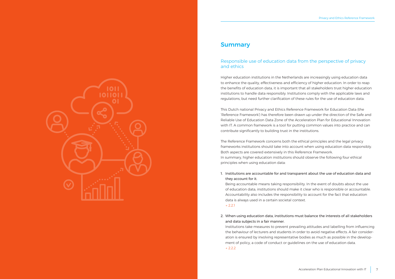### **Summary**

### Responsible use of education data from the perspective of privacy and ethics

Higher education institutions in the Netherlands are increasingly using education data to enhance the quality, effectiveness and efficiency of higher education. In order to reap the benefits of education data, it is important that all stakeholders trust higher education institutions to handle data responsibly. Institutions comply with the applicable laws and regulations, but need further clarification of these rules for the use of education data.

This Dutch national Privacy and Ethics Reference Framework for Education Data (the 'Reference Framework') has therefore been drawn up under the direction of the Safe and Reliable Use of Education Data Zone of the Acceleration Plan for Educational Innovation with IT. A common framework is a tool for putting common values into practice and can contribute significantly to building trust in the institutions.

The Reference Framework concerns both the ethical principles and the legal privacy frameworks institutions should take into account when using education data responsibly. Both aspects are covered extensively in this Reference Framework. In summary, higher education institutions should observe the following four ethical principles when using education data:

1. Institutions are accountable for and transparent about the use of education data and they account for it.

Being accountable means taking responsibility. In the event of doubts about the use of education data, institutions should make it clear who is responsible or accountable. Accountability also includes the responsibility to account for the fact that education data is always used in a certain societal context.

 → [2.2.1](#page-9-0)

2. When using education data, institutions must balance the interests of all stakeholders and data subjects in a fair manner.

 Institutions take measures to prevent prevailing attitudes and labelling from influencing the behaviour of lecturers and students in order to avoid negative effects. A fair consider ation is ensured by involving representative bodies as much as possible in the develop ment of policy, a code of conduct or guidelines on the use of education data. → [2.2.2](#page-10-0)

<span id="page-3-0"></span>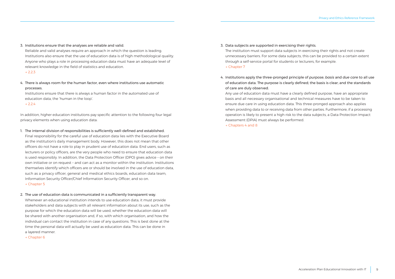3. Institutions ensure that the analyses are reliable and valid.

Reliable and valid analyses require an approach in which the question is leading. Institutions also ensure that the use of education data is of high methodological quality. Anyone who plays a role in processing education data must have an adequate level of relevant knowledge in the field of statistics and education.

#### → [2.2.3](#page-10-0)

4. There is always room for the human factor, even where institutions use automatic processes.

Institutions ensure that there is always a human factor in the automated use of education data, the 'human in the loop'.

 → [2.2.4](#page-11-0)

In addition, higher education institutions pay specific attention to the following four legal privacy elements when using education data:

- 1. The internal division of responsibilities is sufficiently well-defined and established.
- Final responsibility for the careful use of education data lies with the Executive Board as the institution's daily management body. However, this does not mean that other officers do not have a role to play in prudent use of education data. End users, such as lecturers or policy officers, are the very people who need to ensure that education data is used responsibly. In addition, the Data Protection Officer (DPO) gives advice – on their own initiative or on request – and can act as a monitor within the institution. Institutions themselves identify which officers are or should be involved in the use of education data, such as a privacy officer, general and medical ethics boards, education data team, Information Security Officer/Chief Information Security Officer, and so on. → [Chapter](#page-19-0) 5
- 2. The use of education data is communicated in a sufficiently transparent way. Whenever an educational institution intends to use education data, it must provide stakeholders and data subjects with all relevant information about its use, such as the purpose for which the education data will be used, whether the education data will be shared with another organisation and, if so, with which organisation, and how the individual can contact the institution in case of any questions. This is best done at the time the personal data will actually be used as education data. This can be done in a layered manner.
	- → [Chapter](#page-23-0) 6

3. Data subjects are supported in exercising their rights.

The institution must support data subjects in exercising their rights and not create unnecessary barriers. For some data subjects, this can be provided to a certain extent through a self-service portal for students or lecturers, for example.

- → [Chapter](#page-27-0) 7
- 4. Institutions apply the three-pronged principle of *purpose*, *basis* and *due care* to all use of education data. The purpose is clearly defined; the basis is clear; and the standards of care are duly observed.

 Any use of education data must have a clearly defined purpose, have an appropriate basis and all necessary organisational and technical measures have to be taken to ensure due care in using education data. This three-pronged approach also applies when providing data to or receiving data from other parties. Furthermore, if a processing operation is likely to present a high risk to the data subjects, a Data Protection Impact Assessment (DPIA) must always be performed.

 → [Chapters](#page-31-0) 4 and 8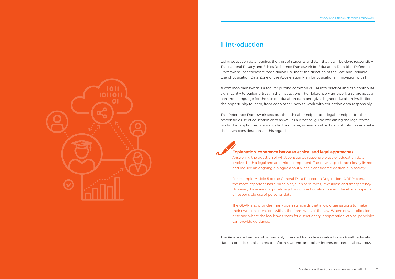## <span id="page-5-0"></span>1 Introduction

Using education data requires the trust of students and staff that it will be done responsibly. This national Privacy and Ethics Reference Framework for Education Data (the 'Reference Framework') has therefore been drawn up under the direction of the Safe and Reliable Use of Education Data Zone of the Acceleration Plan for Educational Innovation with IT.

A common framework is a tool for putting common values into practice and can contribute significantly to building trust in the institutions. The Reference Framework also provides a common language for the use of education data and gives higher education institutions the opportunity to learn, from each other, how to work with education data responsibly.

This Reference Framework sets out the ethical principles and legal principles for the responsible use of education data as well as a practical guide explaining the legal frameworks that apply to education data. It indicates, where possible, how institutions can make their own considerations in this regard.



#### Explanation: coherence between ethical and legal approaches

Answering the question of what constitutes responsible use of education data involves both a legal and an ethical component. These two aspects are closely linked and require an ongoing dialogue about what is considered desirable in society.

For example, Article 5 of the General Data Protection Regulation (GDPR) contains the most important basic principles, such as fairness, lawfulness and transparency. However, these are not purely legal principles but also concern the ethical aspects of responsible use of personal data.

The GDPR also provides many open standards that allow organisations to make their own considerations within the framework of the law. Where new applications arise and where the law leaves room for discretionary interpretation, ethical principles can provide guidance.

The Reference Framework is primarily intended for professionals who work with education data in practice. It also aims to inform students and other interested parties about how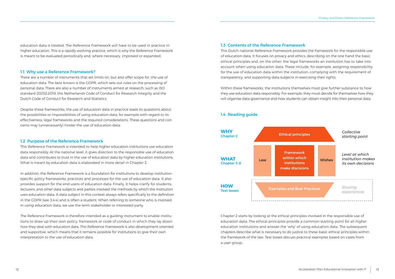<span id="page-6-0"></span>education data is treated. The Reference Framework will have to be used in practice in higher education. This is a rapidly-evolving practice, which is why the Reference Framework is meant to be evaluated periodically and, where necessary, improved or expanded.

#### 1.1 Why use a Reference Framework?

There are a number of instruments that set limits on, but also offer scope for, the use of education data. The best known is the GDPR, which sets out rules on the processing of personal data. There are also a number of instruments aimed at research, such as ISO standard 20252:2019, the Netherlands Code of Conduct for Research Integrity and the Dutch Code of Conduct for Research and Statistics.

Despite these frameworks, the use of education data in practice leads to questions about the possibilities or impossibilities of using education data, for example with regard to its effectiveness, legal frameworks and the required considerations. These questions and concerns may (unnecessarily) hinder the use of education data.

#### 1.2 Purpose of the Reference Framework

This Reference Framework is intended to help higher education institutions use education data responsibly. At the national level, it gives direction to the responsible use of education data and contributes to trust in the use of education data by higher education institutions. What is meant by education data is elaborated in more detail in Chapter 3.

In addition, the Reference Framework is a foundation for institutions to develop institutionspecific policy frameworks, practices and processes for the use of education data. It also provides support for the end users of education data. Finally, it helps clarify for students, lecturers, and other data subjects and parties involved the methods by which the institution uses education data. A data subject in this context always refers specifically to the definition in the GDPR (see 3.4.4) and is often a student. When referring to someone who is involved in *using* education data, we use the term stakeholder or interested party.

The Reference Framework is therefore intended as a guiding instrument to enable institutions to draw up their own policy, framework or code of conduct in which they lay down how they deal with education data. This Reference Framework is also development-oriented and supportive, which means that it remains possible for institutions to give their own interpretation to the use of education data.

#### 1.3 Contents of the Reference Framework

This Dutch national Reference Framework provides the framework for the responsible use of education data. It focuses on privacy and ethics, describing on the one hand the basic ethical principles and, on the other, the legal frameworks an institution has to take into account when using education data. These include, for example, assigning responsibility for the use of education data within the institution, complying with the requirement of transparency, and supporting data subjects in exercising their rights.

Within these frameworks, the institutions themselves must give further substance to how they use education data responsibly. For example, they must decide for themselves how they will organise data governance and how students can obtain insight into their personal data.





Chapter 2 starts by looking at the ethical principles involved in the responsible use of education data. The ethical principles provide a common starting point for all higher education institutions and answer the 'why' of using education data. The subsequent chapters describe what is necessary to do justice to these basic ethical principles within the framework of the law. Text boxes discuss practical examples based on cases from a user group.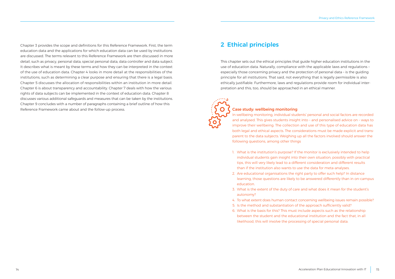<span id="page-7-0"></span>Chapter 3 provides the scope and definitions for this Reference Framework. First, the term education data and the applications for which education data can be used by institutions are discussed. The terms relevant to this Reference Framework are then discussed in more detail, such as privacy, personal data, special personal data, data controller and data subject. It describes what is meant by these terms and how they can be interpreted in the context of the use of education data. Chapter 4 looks in more detail at the responsibilities of the institutions, such as determining a clear purpose and ensuring that there is a legal basis. Chapter 5 discusses the allocation of responsibilities within an institution in more detail. Chapter 6 is about transparency and accountability. Chapter 7 deals with how the various rights of data subjects can be implemented in the context of education data. Chapter 8 discusses various additional safeguards and measures that can be taken by the institutions. Chapter 9 concludes with a number of paragraphs containing a brief outline of how this Reference Framework came about and the follow-up process.

### 2 Ethical principles

This chapter sets out the ethical principles that guide higher education institutions in the use of education data. Naturally, compliance with the applicable laws and regulations – especially those concerning privacy and the protection of personal data – is the guiding principle for all institutions. That said, not everything that is legally permissible is also ethically justifiable. Furthermore, laws and regulations provide room for individual interpretation and this, too, should be approached in an ethical manner.



#### Case study: wellbeing monitoring

In wellbeing monitoring, individual students' personal and social factors are recorded and analysed. This gives students insight into – and personalised advice on – ways to improve their wellbeing. The collection and use of this type of education data has both legal and ethical aspects. The considerations must be made explicit and transparent to the data subjects. Weighing up all the factors involved should answer the following questions, among other things

- 1. What is the institution's purpose? If the monitor is exclusively intended to help individual students gain insight into their own situation, possibly with practical tips, this will very likely lead to a different consideration and different results than if the institution also wants to use the data for meta-analyses.
- 2. Are educational organisations the right party to offer such help? In distance learning, those questions are likely to be answered differently than in on-campus education.
- 3. What is the extent of the duty of care and what does it mean for the student's autonomy?
- 4. To what extent does human contact concerning wellbeing issues remain possible?
- 5. Is the method and substantiation of the approach sufficiently valid?
- 6. What is the basis for this? This must include aspects such as the relationship between the student and the educational institution and the fact that, in all likelihood, this will involve the processing of special personal data.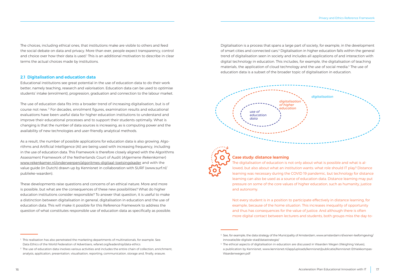<span id="page-8-0"></span>The choices, including ethical ones, that institutions make are visible to others and feed the social debate on data and privacy. More than ever, people expect transparency, control and choice over how their data is used.<sup>1</sup> This is an additional motivation to describe in clear terms the actual choices made by institutions.

#### 2.1 Digitalisation and education data

Educational institutions see great potential in the use of education data to do their work better, namely teaching, research and valorisation. Education data can be used to optimise students' intake (enrolment), progression, graduation and connection to the labour market.

The use of education data fits into a broader trend of increasing digitalisation, but is of course not new. <sup>2</sup> For decades, enrolment figures, examination results and educational evaluations have been useful data for higher education institutions to understand and improve their educational processes and to support their students optimally. What is changing is that the number of data sources is increasing, as is computing power and the availability of new technologies and user-friendly analytical methods.

As a result, the number of possible applications for education data is also growing. Algorithms and Artificial Intelligence (AI) are being used with increasing frequency, including in the use of education data. This Framework is therefore closely aligned with the Algorithms Assessment Framework of the Netherlands Court of Audit (*Algemene Rekenkamer*) [www.rekenkamer.nl/onderwerpen/algoritmes-digitaal-toetsingskader](https://www.rekenkamer.nl/onderwerpen/algoritmes-digitaal-toetsingskader) and with the value guide (in Dutch) drawn up by Kennisnet in collaboration with SURF (www.surf.nl/ publieke-waarden).

These developments raise questions and concerns of an ethical nature. More and more is possible, but what are the consequences of these new possibilities? What do higher education institutions consider responsible? To answer that question, it is useful to make a distinction between digitalisation in general, digitalisation in education and the use of education data. This will make it possible for this Reference Framework to address the question of what constitutes responsible use of education data as specifically as possible. Digitalisation is a process that spans a large part of society, for example, in the development of smart cities and connected cars.<sup>3</sup> Digitalisation in higher education falls within the general trend of digitalisation seen in society and includes all applications of and interaction with digital technology in education. This includes, for example, the digitalisation of teaching materials, the application of cloud technology and the use of social media.4 The use of education data is a subset of the broader topic of digitalisation in education.





#### Case study: distance learning

The digitalisation of education is not only about what is possible and what is allowed, but also about what an institution wants: what role should IT play? Distance learning was necessary during the COVID 19 pandemic, but technology for distance learning can also be used as a source of education data. Distance learning may put pressure on some of the core values of higher education, such as humanity, justice and autonomy.

Not every student is in a position to participate effectively in distance learning, for example, because of the home situation. This increases inequality of opportunity and thus has consequences for the value of justice. And although there is often more digital contact between lecturers and students, both groups miss the day-to-

<sup>&</sup>lt;sup>1</sup> This realisation has also penetrated the marketing departments of multinationals, for example. See: Data Ethics of the World Federation of Advertisers, [wfanet.org/leadership/data-ethics](https://wfanet.org/leadership/data-ethics)

<sup>&</sup>lt;sup>2</sup> The use of education data involves various activities and includes the entire chain of collection, enrichment, analysis, application, presentation, visualisation, reporting, communication, storage and, finally, erasure.

<sup>&</sup>lt;sup>3</sup> See, for example, the data strategy of the Municipality of Amsterdam, [www.amsterdam.nl/wonen-leefomgeving/](https://www.amsterdam.nl/wonen-leefomgeving/innovatie/de-digitale-stad/datastrategie/) [innovatie/de-digitale-stad/datastrategie/](https://www.amsterdam.nl/wonen-leefomgeving/innovatie/de-digitale-stad/datastrategie/)

<sup>4</sup> The ethical aspects of digitalisation in education are discussed in Waarden Wegen (Weighing Values), a publication by Kennisnet, [www.kennisnet.nl/app/uploads/kennisnet/publicatie/Kennisnet-Ethiekkompas-](https://www.kennisnet.nl/app/uploads/kennisnet/publicatie/Kennisnet-Ethiekkompas-Waardenwegen.pdf)[Waardenwegen.pdf](https://www.kennisnet.nl/app/uploads/kennisnet/publicatie/Kennisnet-Ethiekkompas-Waardenwegen.pdf)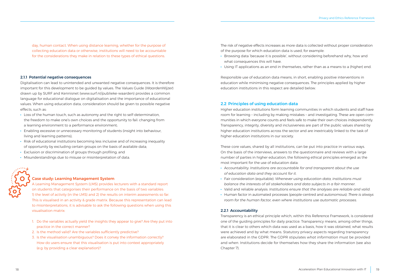<span id="page-9-0"></span>day, human contact. When using distance learning, whether for the purpose of collecting education data or otherwise, institutions will need to be accountable for the considerations they make in relation to these types of ethical questions.

#### 2.1.1 Potential negative consequences

Digitalisation can lead to unintended and unwanted negative consequences. It is therefore important for this development to be guided by values. The Values Guide (*WaardenWijzer*) drawn up by SURF and Kennisnet (www.surf.nl/publieke-waarden) provides a common language for educational dialogue on digitalisation and the importance of educational values. When using education data, consideration should be given to possible negative effects, such as:

- · Loss of the human touch, such as autonomy and the right to self-determination, the freedom to make one's own choices and the opportunity to fail: changing from a learning environment to a performance environment;
- · Enabling excessive or unnecessary monitoring of students (insight into behaviour, living and learning patterns);
- · Risk of educational institutions becoming less inclusive and of increasing inequality of opportunity by excluding certain groups on the basis of available data;
- · Exclusion or discrimination of groups through profiling; and
- · Misunderstandings due to misuse or misinterpretation of data.



#### Case study: Learning Management System

A Learning Management System (LMS) provides lecturers with a standard report on students that categorises their performance on the basis of two variables: 1) the level of activity (in the LMS) and 2) the results on interim assessments so far. This is visualised in an activity & grade matrix. Because this representation can lead to misinterpretations, it is advisable to ask the following questions when using this visualisation matrix:

- 1. Do the variables actually yield the insights they appear to give? Are they put into practice in the correct manner?
- 2. Is the method valid? Are the variables sufficiently predictive?
- 3. Is the visualisation unambiguous? Does it convey the information correctly? How do users ensure that this visualisation is put into context appropriately (e.g. by providing a clear explanation)?

The risk of negative effects increases as more data is collected without proper consideration of the purpose for which education data is used, for example:

- · Browsing data 'because it is possible', without considering beforehand why, how and what consequences this will have.
- · Using IT applications as an end in themselves, rather than as a means to a (higher) end.

Responsible use of education data means, in short, enabling positive interventions in education while minimising negative consequences. The principles applied by higher education institutions in this respect are detailed below.

#### 2.2 Principles of using education data

Higher education institutions form learning communities in which students and staff have room for learning – including by making mistakes – and investigating. These are open communities in which everyone counts and feels safe to make their own choices independently. Transparency, integrity, diversity and inclusiveness are part of the public values shared by higher education institutions across the sector and are inextricably linked to the task of higher education institutions in our society.

These core values, shared by all institutions, can be put into practice in various ways. On the basis of the interviews, answers to the questionnaire and reviews with a large number of parties in higher education, the following ethical principles emerged as the most important for the use of education data:

- · Accountability: *Institutions are accountable for and transparent about the use of education data and they account for it*.
- · Fair consideration (equitable): *Whenever using education data, institutions must balance the interests of all stakeholders and data subjects in a fair manner*.
- · Valid and reliable analysis: *Institutions ensure that the analyses are reliable and valid*.
- · Human factor in automated processes (people-centred and autonomous): *There is always room for the human factor, even where institutions use automatic processes*.

#### 2.2.1 Accountability

Transparency is an ethical principle which, within this Reference Framework, is considered one of the guiding principles for daily practice. Transparency means, among other things, that it is clear to others which data was used as a basis, how it was obtained, what results were achieved and by what means. Statutory privacy aspects regarding transparency are elaborated in the GDPR. The GDPR stipulates *what information* must be provided and *when*. Institutions decide for themselves how they share the information (see also Chapter 7).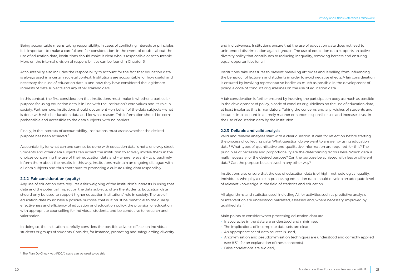<span id="page-10-0"></span>Being accountable means taking responsibility. In cases of conflicting interests or principles, it is important to make a careful and fair consideration. In the event of doubts about the use of education data, institutions should make it clear who is responsible or accountable. More on the internal division of responsibilities can be found in Chapter 5.

Accountability also includes the responsibility to account for the fact that education data is always used in a certain societal context. Institutions are accountable for how useful and necessary their use of education data is and how they have considered the legitimate interests of data subjects and any other stakeholders.

In this context, the first consideration that institutions must make is whether a particular purpose for using education data is in line with the institution's core values and its role in society. Furthermore, institutions should document – on behalf of the data subjects – what is done with which education data and for what reason. This information should be comprehensible and accessible to the data subjects, with no barriers.

Finally, in the interests of accountability, institutions must assess whether the desired purpose has been achieved.5

Accountability for what can and cannot be done with education data is not a one-way street. Students and other data subjects can expect the institution to actively involve them in the choices concerning the use of their education data and – where relevant – to proactively inform them about the results. In this way, institutions maintain an ongoing dialogue with all data subjects and thus contribute to promoting a culture using data responsibly.

#### 2.2.2 Fair consideration (equity)

Any use of education data requires a fair weighing of the institution's interests in using that data and the potential impact on the data subjects, often the students. Education data should only be used to support higher education institutions' role in society. The use of education data must have a positive purpose, that is, it must be beneficial to the quality, effectiveness and efficiency of education and education policy, the provision of education with appropriate counselling for individual students, and be conducive to research and valorisation.

In doing so, the institution carefully considers the possible adverse effects on individual students or groups of students. Consider, for instance, promoting and safeguarding diversity and inclusiveness. Institutions ensure that the use of education data does not lead to unintended discrimination against groups. The use of education data supports an active diversity policy that contributes to reducing inequality, removing barriers and ensuring equal opportunities for all.

Institutions take measures to prevent prevailing attitudes and labelling from influencing the behaviour of lecturers and students in order to avoid negative effects. A fair consideration is ensured by involving representative bodies as much as possible in the development of policy, a code of conduct or guidelines on the use of education data.

A fair consideration is further ensured by involving the participation body as much as possible in the development of policy, a code of conduct or guidelines on the use of education data, at least insofar as this is mandatory. Taking the concerns and any wishes of students and lecturers into account in a timely manner enhances responsible use and increases trust in the use of education data by the institution.

#### 2.2.3 Reliable and valid analysis

Valid and reliable analyses start with a clear question. It calls for reflection before starting the process of collecting data. What question do we want to answer by using education data? What types of quantitative and qualitative information are required for this? The principles of necessity and proportionality are the determining factors here. Which data is really necessary for the desired purpose? Can the purpose be achieved with less or different data? Can the purpose be achieved in any other way?

Institutions also ensure that the use of education data is of high methodological quality. Individuals who play a role in processing education data should develop an adequate level of relevant knowledge in the field of statistics and education.

All algorithms and statistics used, including AI, for activities such as predictive analysis or intervention are understood, validated, assessed and, where necessary, improved by qualified staff.

Main points to consider when processing education data are:

- · Inaccuracies in the data are understood and minimised;
- · The implications of incomplete data sets are clear;
- · An appropriate set of data sources is used;
- · Anonymisation and pseudonymisation techniques are understood and correctly applied (see 8.3.1. for an explanation of these concepts);
- · False correlations are avoided;

<sup>&</sup>lt;sup>5</sup> The Plan Do Check Act (PDCA) cycle can be used to do this.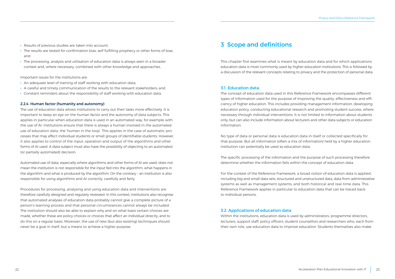- <span id="page-11-0"></span>· Results of previous studies are taken into account;
- · The results are tested for confirmation bias, self-fulfilling prophecy or other forms of bias; and
- · The processing, analysis and utilisation of education data is always seen in a broader context and, where necessary, combined with other knowledge and approaches.

Important issues for the institutions are:

- · An adequate level of training of staff working with education data;
- · A careful and timely communication of the results to the relevant stakeholders; and
- · Constant reminders about the responsibility of staff working with education data.

#### 2.2.4 Human factor (humanity and autonomy)

The use of education data allows institutions to carry out their tasks more effectively. It is important to keep an eye on the human factor and the autonomy of data subjects. This applies in particular when education data is used in an automated way, for example with the use of AI. Institutions ensure that there is always a human involved in the automated use of education data, the 'human in the loop'. This applies in the case of automatic processes that may affect individual students or small groups of identifiable students. However, it also applies to control of the input, operation and output of the algorithms and other forms of AI used. A data subject must also have the possibility of objecting to an automated (or partially automated) decision.

Automated use of data, especially where algorithms and other forms of AI are used, does not mean the institution is not responsible for the input fed into the algorithm, what happens in the algorithm and what is produced by the algorithm. On the contrary – an institution is also responsible for using algorithms and AI correctly, carefully and fairly.

Procedures for processing, analysing and using education data and interventions are therefore carefully designed and regularly reviewed. In this context, institutions also recognise that automated analyses of education data probably cannot give a complete picture of a person's learning process and that personal circumstances cannot always be included. The institution should also be able to explain why and on what basis certain choices are made, whether these are policy choices or choices that affect an individual directly, and to do this on a regular basis. Moreover, the use of new (but also existing) techniques should never be a goal in itself, but a means to achieve a higher purpose.

## 3 Scope and definitions

This chapter first examines what is meant by education data and for which applications education data is most commonly used by higher education institutions. This is followed by a discussion of the relevant concepts relating to privacy and the protection of personal data.

#### 3.1 Education data

The concept of education data used in this Reference Framework encompasses different types of information used for the purpose of improving the quality, effectiveness and efficiency of higher education. This includes providing management information, developing education policy, conducting educational research and promoting student success, where necessary through individual interventions. It is not limited to information about students only, but can also include information about lecturers and other data subjects or education information.

No type of data or personal data is education data in itself or collected specifically for that purpose. But all information (often a mix of information) held by a higher education institution can potentially be used as education data.

The specific processing of the information and the purpose of such processing therefore determine whether the information falls within the concept of education data.

For the context of the Reference Framework, a broad notion of education data is applied, including big and small data sets, structured and unstructured data, data from administrative systems as well as management systems, and both historical and real-time data. This Reference Framework applies in particular to education data that can be traced back to individual persons.

#### 3.2 Applications of education data

Within the institutions, education data is used by administrators, programme directors, lecturers, support staff, policy officers, student counsellors and researchers who, each from their own role, use education data to improve education. Students themselves also make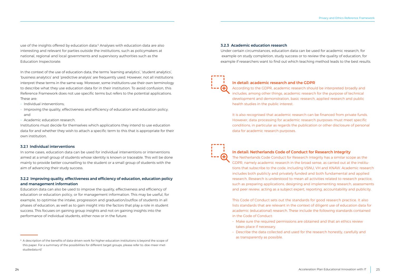<span id="page-12-0"></span>use of the insights offered by education data.6 Analyses with education data are also interesting and relevant for parties outside the institutions, such as policymakers at national, regional and local governments and supervisory authorities such as the Education Inspectorate.

In the context of the use of education data, the terms 'learning analytics', 'student analytics', 'business analytics' and 'predictive analysis' are frequently used. However, not all institutions interpret these terms in the same way. Moreover, some institutions use their own terminology to describe what they use education data for in their institution. To avoid confusion, this Reference Framework does not use specific terms but refers to the potential applications. These are:

- Individual interventions:
- Improving the quality, effectiveness and efficiency of education and education policy; and
- – Academic education research.

Institutions must decide for themselves which applications they intend to use education data for and whether they wish to attach a specific term to this that is appropriate for their own institution.

#### 3.2.1 Individual interventions

In some cases, education data can be used for individual interventions or interventions aimed at a small group of students whose identity is known or traceable. This will be done mainly to provide better counselling to the student or a small group of students with the aim of advancing their study success.

#### 3.2.2 Improving quality, effectiveness and efficiency of education, education policy and management information

Education data can also be used to improve the quality, effectiveness and efficiency of education or education policy, or for management information. This may be useful, for example, to optimise the intake, progression and graduation/outflox of students in all phases of education, as well as to gain insight into the factors that play a role in student success. This focuses on gaining group insights and not on gaining insights into the performance of individual students, either now or in the future.

#### 3.2.3 Academic education research

Under certain circumstances, education data can be used for academic research, for example on study completion, study success or to review the quality of education, for example if researchers want to find out which teaching method leads to the best results.



#### In detail: academic research and the GDPR

According to the GDPR, academic research should be interpreted broadly and includes, among other things, academic research for the purpose of technical development and demonstration, basic research, applied research and public health studies in the public interest.

It is also recognised that academic research can be financed from private funds. However, data processing for academic research purposes must meet specific conditions, in particular as regards the publication or other disclosure of personal data for academic research purposes.



#### In detail: Netherlands Code of Conduct for Research Integrity

The Netherlands Code Conduct for Research Integrity has a similar scope as the GDPR, namely academic research in the broad sense, as carried out at the institutions that subscribe to the code, including VSNU, VH and KNAW. Academic research includes both publicly and privately funded and both fundamental and applied research. Research is understood to mean all activities related to research practice, such as preparing applications, designing and implementing research, assessments and peer review, acting as a subject expert, reporting, accountability and publicity.

This Code of Conduct sets out the standards for good research practice. It also lists standards that are relevant in the context of diligent use of education data for academic (educational) research. These include the following standards contained in the Code of Conduct:

- Make sure the required permissions are obtained and that an ethics review takes place if necessary.
- Describe the data collected and used for the research honestly, carefully and as transparently as possible.

<sup>&</sup>lt;sup>6</sup> A description of the benefits of data-driven work for higher education institutions is beyond the scope of this paper. For a summary of the possibilities for different target groups, please refer to: [doe-meer-met](https://doe-meer-met-studiedata.nl/)[studiedata.nl/](https://doe-meer-met-studiedata.nl/)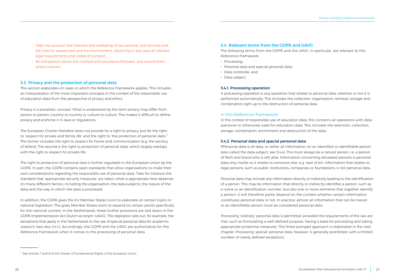- <span id="page-13-0"></span>- Take into account the interests and wellbeing of test persons, test animals and the risks for researchers and the environment, observing in any case all relevant legal requirements and codes of conduct.
- Be transparent about the method and procedure followed, and record them where relevant.

### 3.3 Privacy and the protection of personal data

This section elaborates on cases in which the Reference Framework applies. This includes an interpretation of the most important concepts in the context of the responsible use of education data from the perspective of privacy and ethics.

Privacy is a pluralistic concept. What is understood by the term privacy may differ from person to person, country to country or culture to culture. This makes it difficult to define privacy and enshrine it in laws or regulations.

The European Charter therefore does not provide for a right to privacy, but for the right to 'respect for private and family life' and the right to 'the protection of personal data'.<sup>7</sup> The former includes the right to respect for home and communication (e.g. the secrecy of letters). The second is the right to protection of personal data, which largely overlaps with the right to respect for private life.

The right to protection of personal data is further regulated in the European Union by the GDPR. In part, the GDPR contains open standards that allow organisations to make their own considerations regarding the responsible use of personal data. Take for instance the standard that 'appropriate security measures' are taken; what is appropriate here depends on many different factors, including the organisation, the data subjects, the nature of the data and the way in which the data is processed.

In addition, the GDPR gives the EU Member States room to elaborate on certain topics in national legislation. This gives Member States room to expand on certain points specifically for the national context. In the Netherlands, these further provisions are laid down in the GDPR Implementation Act (Dutch acronym: UAVG). This legislation sets out, for example, the exceptions that apply in the Netherlands to the use of special personal data for academic research (see also 3.4.1.). Accordingly, the GDPR and the UAVG are authoritative for this Reference Framework when it comes to the processing of personal data.

#### 3.4 Relevant terms from the GDPR and UAVG

The following terms from the GDPR and the UAVG, in particular, are relevant to this Reference Framework:

- · Processing;
- · Personal data and special personal data;
- · Data controller; and
- · Data subject.

#### 3.4.1 Processing operation

A processing operation is any operation that relates to personal data, whether or not it is performed automatically. This includes the collection, organisation, retrieval, storage and combination right up to the destruction of personal data.

### In this Reference Framework

In the context of responsible use of education data, this concerns all operations with data (personal or otherwise) used for education data. This includes the selection, collection, storage, combination, enrichment and destruction of the data.

#### 3.4.2 Personal data and special personal data

PPersonal data is all data, or rather all information, on an identified or identifiable person (also called the data subject, see 3.4.4). This must always be a natural person, i.e. a person of flesh and blood who is still alive. Information concerning deceased persons is personal data only insofar as it relates to someone else, e.g. next of kin. Information that relates to legal persons, such as public institutions, companies or foundations, is not personal data.

Personal data may include any information directly or indirectly leading to the identification of a person. This may be information that directly or indirectly identifies a person, such as a name or an identification number, but also one or more elements that together identify a person. It will therefore partly depend on the context whether certain information constitutes personal data or not. In practice, almost all information that can be traced to an identifiable person must be considered personal data.

Processing 'ordinary' personal data is permitted, provided the requirements of the law are met, such as formulating a well-defined purpose, having a basis for processing and taking appropriate protective measures. This three-pronged approach is elaborated in the next chapter. Processing 'special' personal data, however, is generally prohibited, with a limited number of clearly defined exceptions.

<sup>7</sup> See Articles 7 and 8 of the Charter of Fundamental Rights of the European Union..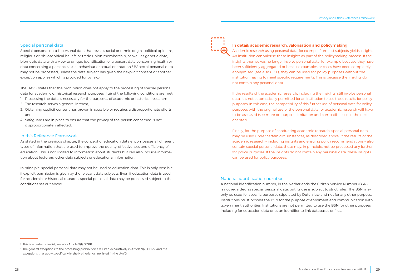#### Special personal data

Special personal data is personal data that reveals racial or ethnic origin, political opinions, religious or philosophical beliefs or trade union membership, as well as genetic data, biometric data with a view to unique identification of a person, data concerning health or data concerning a person's sexual behaviour or sexual orientation.<sup>8</sup> BSpecial personal data may not be processed, unless the data subject has given their explicit consent or another exception applies which is provided for by law.<sup>9</sup>

The UAVG states that the prohibition does not apply to the processing of special personal data for academic or historical research purposes if *all* of the following conditions are met:

- 1. Processing the data is necessary for the purposes of academic or historical research;
- 2. The research serves a general interest;
- 3. Obtaining explicit consent has proven impossible or requires a disproportionate effort; and
- 4. Safeguards are in place to ensure that the privacy of the person concerned is not disproportionately affected.

#### In this Reference Framework

As stated in the previous chapter, the concept of education data encompasses all different types of information that are used to improve the quality, effectiveness and efficiency of education. This is not limited to information about students but can also include information about lecturers, other data subjects or educational information.

In principle, special personal data may not be used as education data. This is only possible if explicit permission is given by the relevant data subjects. Even if education data is used for academic or historical research, special personal data may be processed subject to the conditions set out above.

#### In detail: academic research, valorisation and policymaking

Academic research using personal data, for example from test subjects, yields insights. An institution can valorise these insights as part of the policymaking process. If the insights themselves no longer involve personal data, for example because they have been sufficiently aggregated or because examples or cases have been completely anonymised (see also 8.3.1.), they can be used for policy purposes without the institution having to meet specific requirements. This is because the insights do not contain any personal data.

If the results of the academic research, including the insights, still involve personal data, it is not automatically permitted for an institution to use these results for policy purposes. In this case, the compatibility of this further use of personal data for policy purposes with the original use of the personal data for academic research will have to be assessed (see more on purpose limitation and compatible use in the next chapter).

Finally, for the purpose of conducting academic research, special personal data may be used under certain circumstances, as described above. If the results of the academic research – including insights and ensuing policy recommendations – also contain special personal data, these may, in principle, not be processed any further for policy purposes. If the insights do not contain any personal data, these insights can be used for policy purposes.

#### National identification number

A national identification number, in the Netherlands the Citizen Service Number (BSN), is not regarded as special personal data, but its use is subject to strict rules. The BSN may only be used for specific purposes stipulated by Dutch law and not for any other purpose. Institutions must process the BSN for the purpose of enrolment and communication with government authorities. Institutions are not permitted to use the BSN for other purposes, including for education data or as an identifier to link databases or files.

<sup>&</sup>lt;sup>8</sup> This is an exhaustive list, see also Article 9(1) GDPR.

<sup>&</sup>lt;sup>9</sup> The general exceptions to the processing prohibition are listed exhaustively in Article 9(2) GDPR and the exceptions that apply specifically in the Netherlands are listed in the UAVG.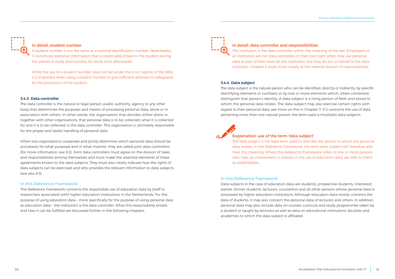<span id="page-15-0"></span>

#### In detail: student number

A student number is not the same as a national identification number. Nevertheless, it constitutes personal information that is inextricably linked to the student during the period of study (and possibly for some time afterwards).

While the use of a student number does not fall under the strict regime of the BSN, it is important when using a student number to give sufficient attention to safeguards for the protection of the student.

#### 3.4.3 Data controller

The data controller is the natural or legal person, public authority, agency or any other body that determines the purposes and means of processing personal data, alone or in association with others. In other words, the organisation that decides, either alone or together with other organisations, that personal data is to be collected, what it is collected for and it is to be collected, is the data controller. This organisation is ultimately responsible for the proper and lawful handling of personal data.

When two organisations cooperate and jointly determine which personal data should be processed, for what purposes and in what manner, they are called joint data controllers (for more information, see 8.2). Joint data controllers must agree on the division of tasks and responsibilities among themselves and must make the essential elements of these agreements known to the data subjects. They must also clearly indicate how the rights of data subjects can be exercised and who provides the relevant information to data subjects (see also 8.3).

#### In this Reference Framework

This Reference Framework concerns the responsible use of education data by (staff or researchers associated with) higher education institutions in the Netherlands. For the purpose of using education data – more specifically for the purpose of using personal data as education data – the institution is the data controller. What this responsibility entails and how it can be fulfilled are discussed further in the following chapters.



#### In detail: data controller and responsibilities

The institution is the data controller within the meaning of the law. Employees of an institution are not data controllers in their own right when they use personal data as part of their work for the institution, but they do act on behalf of the data controller. Chapter 6 looks more closely at the internal division of responsibilities.

#### 3.4.4 Data subject

The data subject is the natural person who can be identified, directly or indirectly, by specific identifying elements or numbers or by one or more elements which, when combined, distinguish that person's identity. A data subject is a living person of flesh and blood to whom the personal data relates. The data subject may also exercise certain rights with regard to their personal data; see more on this in Chapter 7. If it concerns the use of data pertaining more than one natural person, the term used is (multiple) data subjects.

### Explanation: use of the term 'data subject'

The data subject is the legal term used to describe the person to whom the personal data relates. In this Reference Framework, the term *data subject* will therefore also have this meaning. Where this Reference Framework refers to one or more persons who have an involvement or interest in the use of education data, we refer to them as *stakeholders*.

#### In this Reference Framework

Data subjects in the case of education data are students, prospective students, interested parties, former students, lecturers, counsellors and all other persons whose personal data is processed by higher education institutions. Although education data mostly concerns the data of students, it may also concern the personal data of lecturers and others. In addition, personal data may also include data on courses, curricula and study programmes taken by a student or taught by lecturers as well as data on educational institutions, faculties and academies to which the data subject is affiliated.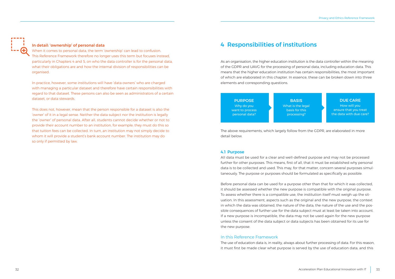#### <span id="page-16-0"></span>In detail: 'ownership' of personal data

When it comes to personal data, the term 'ownership' can lead to confusion. This Reference Framework therefore no longer uses this term but focuses instead, particularly in Chapters 4 and 5, on who the data controller is for the personal data, what their obligations are and how the internal division of responsibilities can be organised.

In practice, however, some institutions will have 'data owners' who are charged with managing a particular dataset and therefore have certain responsibilities with regard to that dataset. These persons can also be seen as administrators of a certain dataset, or data stewards.

This does not, however, mean that the person responsible for a dataset is also the 'owner' of it in a legal sense. Neither the data subject nor the institution is legally the 'owner' of personal data. After all, students cannot decide whether or not to provide their account number to an institution, for example; they must do this so that tuition fees can be collected. In turn, an institution may not simply decide to whom it will provide a student's bank account number. The institution may do so only if permitted by law.

### 4 Responsibilities of institutions

As an organisation, the higher education institution is the data controller within the meaning of the GDPR and UAVG for the processing of personal data, including education data. This means that the higher education institution has certain responsibilities, the most important of which are elaborated in this chapter. In essence, these can be broken down into three elements and corresponding questions.

| <b>PURPOSE</b><br>Why do you<br>want to process<br>personal data? | <b>BASIS</b><br>What is the legal<br>basis for this<br>processing? | <b>DUE CARE</b><br>How will you<br>ensure that you treat<br>the data with due care? |
|-------------------------------------------------------------------|--------------------------------------------------------------------|-------------------------------------------------------------------------------------|
|                                                                   |                                                                    |                                                                                     |

The above requirements, which largely follow from the GDPR, are elaborated in more detail below.

#### 4.1 Purpose

All data must be used for a clear and well-defined purpose and may not be processed further for other purposes. This means, first of all, that it must be established why personal data is to be collected and used. This may, for that matter, concern several purposes simultaneously. The purpose or purposes should be formulated as specifically as possible.

Before personal data can be used for a purpose other than that for which it was collected, it should be assessed whether the new purpose is compatible with the original purpose. To assess whether there is a compatible use, the institution itself must weigh up the situation. In this assessment, aspects such as the original and the new purpose, the context in which the data was obtained, the nature of the data, the nature of the use and the possible consequences of further use for the data subject must at least be taken into account. If a new purpose is incompatible, the data may not be used again for the new purpose unless the consent of the data subject or data subjects has been obtained for its use for the new purpose.

#### In this Reference Framework

The use of education data is, in reality, always about further processing of data. For this reason, it must first be made clear what purpose is served by the use of education data, and this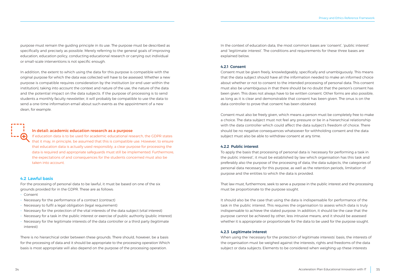<span id="page-17-0"></span>purpose must remain the guiding principle in its use. The purpose must be described as specifically and precisely as possible. Merely referring to the general goals of improving education, education policy, conducting educational research or carrying out individual or small-scale interventions is not specific enough.

In addition, the extent to which using the data for this purpose is compatible with the original purpose for which the data was collected will have to be assessed. Whether a new purpose is compatible requires consideration by the institution (or end user within the institution), taking into account the context and nature of the use, the nature of the data and the potential impact on the data subjects. If the purpose of processing is to send students a monthly faculty newsletter, it will probably be compatible to use the data to send a one-time information email about such events as the appointment of a new dean, for example.



#### In detail: academic education research as a purpose

If education data is to be used for academic educational research, the GDPR states that it may, in principle, be assumed that this is compatible use. However, to ensure that education data is actually used responsibly, a clear purpose for processing the data is required and appropriate safeguards must still be implemented. Furthermore, the expectations of and consequences for the students concerned must also be taken into account.

#### 4.2 Lawful basis

For the processing of personal data to be lawful, it must be based on one of the six grounds provided for in the GDPR. These are as follows:

- – Consent
- Necessary for the performance of a contract (contract)
- Necessary to fulfil a legal obligation (legal requirement)
- Necessary for the protection of the vital interests of the data subject (vital interest)
- Necessary for a task in the public interest or exercise of public authority (public interest)
- Necessary for the legitimate interests of the data controller or a third party (legitimate interest)

There is no hierarchical order between these grounds. There should, however, be a basis for the processing of data and it should be appropriate to the processing operation Which basis is most appropriate will also depend on the purpose of the processing operation.

In the context of education data, the most common bases are 'consent', 'public interest' and 'legitimate interest'. The conditions and requirements for these three bases are explained below.

#### 4.2.1 Consent

Consent must be given freely, knowledgeably, specifically and unambiguously. This means that the data subject should have all the information needed to make an informed choice about whether or not to consent to the intended processing of personal data. This consent must also be unambiguous in that there should be no doubt that the person's consent has been given. This does not always have to be written consent. Other forms are also possible, as long as it is clear and demonstrable that consent has been given. The onus is on the data controller to prove that consent has been obtained.

Consent must also be freely given, which means a person must be completely free to make a choice. The data subject must not feel any pressure or be in a hierarchical relationship with the data controller which could affect the data subject's freedom of choice. There should be no negative consequences whatsoever for withholding consent and the data subject must also be able to withdraw consent at any time.

#### 4.2.2 Public interest

To apply the basis that processing of personal data is 'necessary for performing a task in the public interest', it must be established by law which organisation has this task and preferably also the purpose of the processing of data, the data subjects, the categories of personal data necessary for this purpose, as well as the retention periods, limitation of purpose and the entities to which the data is provided.

That law must, furthermore, seek to serve a purpose in the public interest and the processing must be proportionate to the purpose sought.

It should also be the case that using the data is indispensable for performance of the task in the public interest. This requires the organisation to assess which data is truly indispensable to achieve the stated purpose. In addition, it should be the case that the purpose cannot be achieved by other, less intrusive means, and it should be assessed whether it is appropriate or proportionate for the data to be used for the purpose sought.

#### 4.2.3 Legitimate interest

When using the 'necessary for the protection of legitimate interests' basis, the interests of the organisation must be weighed against the interests, rights and freedoms of the data subject or data subjects. Elements to be considered when weighing up these interests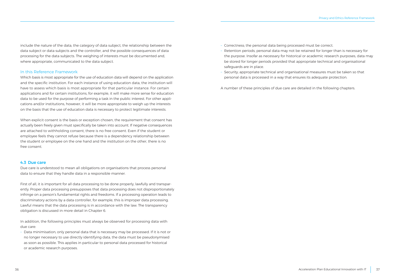<span id="page-18-0"></span>include the nature of the data, the category of data subject, the relationship between the data subject or data subjects and the controller, and the possible consequences of data processing for the data subjects. The weighing of interests must be documented and, where appropriate, communicated to the data subject.

#### In this Reference Framework

Which basis is most appropriate for the use of education data will depend on the application and the specific institution. For each instance of using education data, the institution will have to assess which basis is most appropriate for that particular instance. For certain applications and for certain institutions, for example, it will make more sense for education data to be used for the purpose of performing a task in the public interest. For other applications and/or institutions, however, it will be more appropriate to weigh up the interests on the basis that the use of education data is necessary to protect legitimate interests.

When explicit consent is the basis or exception chosen, the requirement that consent has actually been freely given must specifically be taken into account. If negative consequences are attached to withholding consent, there is no free consent. Even if the student or employee feels they cannot refuse because there is a dependency relationship between the student or employee on the one hand and the institution on the other, there is no free consent.

#### 4.3 Due care

Due care is understood to mean all obligations on organisations that process personal data to ensure that they handle data in a responsible manner.

First of all, it is important for all data processing to be done properly, lawfully and transparently. Proper data processing presupposes that data processing does not disproportionately infringe on a person's fundamental rights and freedoms. If a processing operation leads to discriminatory actions by a data controller, for example, this is improper data processing. Lawful means that the data processing is in accordance with the law. The transparency obligation is discussed in more detail in Chapter 6.

In addition, the following principles must always be observed for processing data with due care:

- Data minimisation; only personal data that is necessary may be processed. If it is not or no longer necessary to use directly identifying data, the data must be pseudonymised as soon as possible. This applies in particular to personal data processed for historical or academic research purposes.

- Correctness; the personal data being processed must be correct.
- Retention periods; personal data may not be retained for longer than is necessary for the purpose. Insofar as necessary for historical or academic research purposes, data may be stored for longer periods provided that appropriate technical and organisational safeguards are in place.
- Security; appropriate technical and organisational measures must be taken so that personal data is processed in a way that ensures its adequate protection.

A number of these principles of due care are detailed in the following chapters.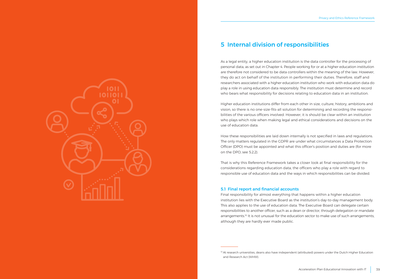<span id="page-19-0"></span>

### 5 Internal division of responsibilities

As a legal entity, a higher education institution is the data controller for the processing of personal data, as set out in Chapter 4. People working for or at a higher education institution are therefore not considered to be data controllers within the meaning of the law. However, they do act on behalf of the institution in performing their duties. Therefore, staff and researchers associated with a higher education institution who work with education data do play a role in using education data responsibly. The institution must determine and record who bears what responsibility for decisions relating to education data in an institution.

Higher education institutions differ from each other in size, culture, history, ambitions and vision, so there is no one-size-fits-all solution for determining and recording the responsibilities of the various officers involved. However, it is should be clear within an institution who plays which role when making legal and ethical considerations and decisions on the use of education data.

How these responsibilities are laid down internally is not specified in laws and regulations. The only matters regulated in the GDPR are under what circumstances a Data Protection Officer (DPO) must be appointed and what this officer's position and duties are (for more on the DPO, see 5.2.2).

That is why this Reference Framework takes a closer look at final responsibility for the considerations regarding education data, the officers who play a role with regard to responsible use of education data and the ways in which responsibilities can be divided.

#### 5.1 Final report and financial accounts

Final responsibility for almost everything that happens within a higher education institution lies with the Executive Board as the institution's day-to-day management body. This also applies to the use of education data. The Executive Board can delegate certain responsibilities to another officer, such as a dean or director, through delegation or mandate arrangements.<sup>10</sup> It is not unusual for the education sector to make use of such arrangements, although they are hardly ever made public.

<sup>&</sup>lt;sup>10</sup> At research universities, deans also have independent (attributed) powers under the Dutch Higher Education and Research Act (WHW).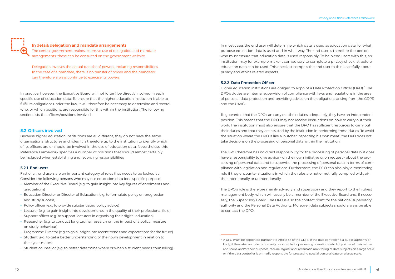#### <span id="page-20-0"></span>In detail: delegation and mandate arrangements

The central government makes extensive use of delegation and mandate arrangements; these can be consulted on the government website.

Delegation involves the actual transfer of powers, including responsibilities. In the case of a mandate, there is no transfer of power and the mandator can therefore always continue to exercise its powers.

In practice, however, the Executive Board will not (often) be directly involved in each specific use of education data. To ensure that the higher education institution is able to fulfil its obligations under the law, it will therefore be necessary to determine and record who, or which positions, are responsible for this within the institution. The following section lists the officers/positions involved.

#### 5.2 Officers involved

Because higher education institutions are all different, they do not have the same organisational structures and roles. It is therefore up to the institution to identify which of its officers are or should be involved in the use of education data. Nevertheless, this Reference Framework specifies a number of positions that should almost certainly be included when establishing and recording responsibilities.

#### 5.2.1 End users

First of all, end users are an important category of roles that needs to be looked at. Consider the following persons who may use education data for a specific purpose:

- Member of the Executive Board (e.g. to gain insight into key figures of enrolments and graduations)
- Education Director or Director of Education (e.g. to formulate policy on progression and study success)
- Policy officer (e.g. to provide substantiated policy advice)
- Lecturer (e.g. to gain insight into developments in the quality of their professional field)
- Support officer (e.g. to support lecturers in organising their digital education)
- Researcher (e.g. to conduct longitudinal research on the impact of a policy measure on study behaviour)
- Programme Director (e.g. to gain insight into recent trends and expectations for the future)
- Student (e.g. to get a better understanding of their own development in relation to their year-mates)
- Student counsellor (e.g. to better determine where or when a student needs counselling)

In most cases the end user will determine which data is used as education data, for what purpose education data is used and in what way. The end user is therefore the person who must ensure that education data is used responsibly. To help end users with this, an institution may for example make it compulsory to complete a privacy checklist before education data can be used. This checklist compels the end user to think carefully about privacy and ethics related aspects.

#### 5.2.2 Data Protection Officer

Higher education institutions are obliged to appoint a Data Protection Officer (DPO).<sup>11</sup> The DPO's duties are internal supervision of compliance with laws and regulations in the area of personal data protection and providing advice on the obligations arising from the GDPR and the UAVG.

To guarantee that the DPO can carry out their duties adequately, they have an independent position. This means that the DPO may not receive instructions on how to carry out their work. The institution must also ensure that the DPO has sufficient resources to carry out their duties and that they are assisted by the institution in performing these duties. To avoid the situation where the DPO is like a 'butcher inspecting his own meat', the DPO does not take decisions on the processing of personal data within the institution.

The DPO therefore has no direct responsibility for the processing of personal data but does have a responsibility to give advice – on their own initiative or on request – about the processing of personal data and to supervise the processing of personal data in terms of compliance with legislation and regulations. Furthermore, the DPO can also play a monitoring role if they encounter situations in which the rules are not or not fully complied with, either intentionally or unintentionally.

The DPO's role is therefore mainly advisory and supervisory and they report to the highest management body, which will usually be a member of the Executive Board and, if necessary, the Supervisory Board. The DPO is also the contact point for the national supervisory authority and the Personal Data Authority. Moreover, data subjects should always be able to contact the DPO.

<sup>11</sup> A DPO must be appointed pursuant to Article 37 of the GDPR if the data controller is a public authority or body, if the data controller is primarily responsible for processing operations which, by virtue of their nature and scope and/or their purposes, require regular and systematic monitoring of data subjects on a large scale, or if the data controller is primarily responsible for processing special personal data on a large scale.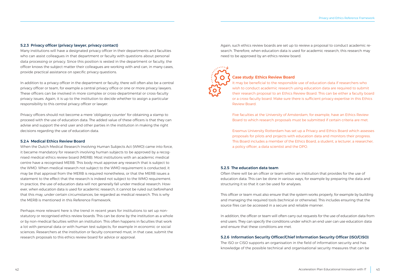#### <span id="page-21-0"></span>5.2.3 Privacy officer (privacy lawyer, privacy contact)

Many institutions will have a designated privacy officer in their departments and faculties who can assist colleagues in that department or faculty with questions about personal data processing or privacy. Since this position is vested in the department or faculty, the officer knows the subject matter their colleagues are working with and can, in many cases, provide practical assistance on specific privacy questions.

In addition to a privacy officer in the department or faculty, there will often also be a central privacy officer or team, for example a central privacy office or one or more privacy lawyers. These officers can be involved in more complex or cross-departmental or cross-faculty privacy issues. Again, it is up to the institution to decide whether to assign a particular responsibility to this central privacy officer or lawyer.

Privacy officers should not become a mere 'obligatory counter' for obtaining a stamp to proceed with the use of education data. The added value of these officers is that they can advise and support the end user and other parties in the institution in making the right decisions regarding the use of education data.

#### 5.2.4 Medical Ethics Review Board

When the Dutch Medical Research Involving Human Subjects Act (WMO) came into force, it became mandatory for research involving human subjects to be approved by a recognised medical ethics review board (MERB). Most institutions with an academic medical centre have a recognised MERB. This body must approve any research that is subject to the WMO. When medical research not subject to the WMO requirement is conducted, it may be that approval from the MERB is required nonetheless, or that the MERB issues a statement to the effect that the research is indeed not subject to the WMO requirement. In practice, the use of education data will not generally fall under medical research. However, when education data is used for academic research, it cannot be ruled out beforehand that this may, under certain circumstances, be regarded as medical research. This is why the MERB is mentioned in this Reference Framework.

Perhaps more relevant here is the trend in recent years for institutions to set up nonstatutory or recognised ethics review boards. This can be done by the institution as a whole or by non-medical faculties within an institution. This often happens in faculties that work a lot with personal data or with human test subjects, for example in economic or social sciences. Researchers at the institution or faculty concerned must, in that case, submit the research proposals to this ethics review board for advice or approval.

Again, such ethics review boards are set up to review a proposal to conduct academic research. Therefore, when education data is used for academic research, this research may need to be approved by an ethics review board.



#### Case study: Ethics Review Board

It may be beneficial to the responsible use of education data if researchers who wish to conduct academic research using education data are required to submit their research proposal to an Ethics Review Board. This can be either a faculty board or a cross-faculty board. Make sure there is sufficient privacy expertise in this Ethics Review Board.

Five faculties at the University of Amsterdam, for example, have an Ethics Review Board to which research proposals must be submitted if certain criteria are met.

Erasmus University Rotterdam has set up a Privacy and Ethics Board which assesses proposals for pilots and projects with education data and monitors their progress. This Board includes a member of the Ethics Board, a student, a lecturer, a researcher, a policy officer, a data scientist and the DPO.

#### 5.2.5 The education data team

Often there will be an officer or team within an institution that provides for the use of education data. This can be done in various ways, for example by preparing the data and structuring it so that it can be used for analyses.

This officer or team must also ensure that the system works properly, for example by building and managing the required tools (technical or otherwise). This includes ensuring that the source files can be accessed in a secure and reliable manner.

In addition, the officer or team will often carry out requests for the use of education data from end users. They can specify the conditions under which an end user can use education data and ensure that these conditions are met.

#### 5.2.6 Information Security Officer/Chief Information Security Officer (ISO/CISO)

The ISO or CISO supports an organisation in the field of information security and has knowledge of the possible technical and organisational security measures that can be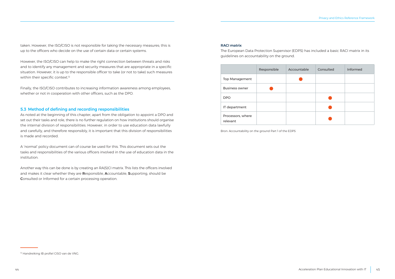<span id="page-22-0"></span>taken. However, the ISO/CISO is not responsible for taking the necessary measures; this is up to the officers who decide on the use of certain data or certain systems.

However, the ISO/CISO can help to make the right connection between threats and risks and to identify any management and security measures that are appropriate in a specific situation. However, it is up to the responsible officer to take (or not to take) such measures within their specific context.<sup>12</sup>

Finally, the ISO/CISO contributes to increasing information awareness among employees, whether or not in cooperation with other officers, such as the DPO.

#### 5.3 Method of defining and recording responsibilities

As noted at the beginning of this chapter, apart from the obligation to appoint a DPO and set out their tasks and role, there is no further regulation on how institutions should organise the internal division of responsibilities. However, in order to use education data lawfully and carefully, and therefore responsibly, it is important that this division of responsibilities is made and recorded.

A 'normal' policy document can of course be used for this. This document sets out the tasks and responsibilities of the various officers involved in the use of education data in the institution.

Another way this can be done is by creating an RA(S)CI matrix. This lists the officers involved and makes it clear whether they are Responsible, Accountable, Supporting, should be Consulted or Informed for a certain processing operation.

#### RACI matrix

The European Data Protection Supervisor (EDPS) has included a basic RACI matrix in its guidelines on accountability on the ground.

|                               | Responsible | Accountable | Consulted | Informed |
|-------------------------------|-------------|-------------|-----------|----------|
| Top Management                |             |             |           |          |
| <b>Business owner</b>         |             |             |           |          |
| <b>DPO</b>                    |             |             |           |          |
| IT department                 |             |             |           |          |
| Processors, where<br>relevant |             |             |           |          |

Bron: Accountability on the ground Part 1 of the EDPS

<sup>&</sup>lt;sup>12</sup> Handreiking IB profiel CISO van de VNG.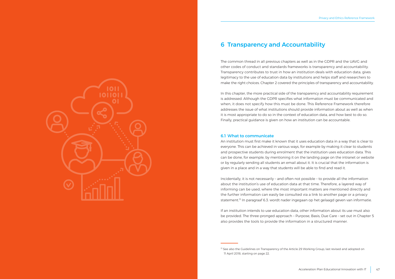<span id="page-23-0"></span>

### 6 Transparency and Accountability

The common thread in all previous chapters as well as in the GDPR and the UAVG and other codes of conduct and standards frameworks is transparency and accountability. Transparency contributes to trust in how an institution deals with education data, gives legitimacy to the use of education data by institutions and helps staff and researchers to make the right choices. Chapter 2 covered the principles of transparency and accountability.

In this chapter, the more practical side of the transparency and accountability requirement is addressed. Although the GDPR specifies what information must be communicated and when, it does not specify how this must be done. This Reference Framework therefore addresses the issue of what institutions should provide information about as well as when it is most appropriate to do so in the context of education data, and how best to do so. Finally, practical guidance is given on how an institution can be accountable.

#### 6.1 What to communicate

An institution must first make it known that it uses education data in a way that is clear to everyone. This can be achieved in various ways, for example by making it clear to students and prospective students during enrolment that the institution uses education data. This can be done, for example, by mentioning it on the landing page on the intranet or website or by regularly sending all students an email about it. It is crucial that the information is given in a place and in a way that students will be able to find and read it.

Incidentally, it is not necessarily – and often not possible – to provide all the information about the institution's use of education data at that time. Therefore, a layered way of informing can be used, where the most important matters are mentioned directly and the further information can easily be consulted via a link to another page or a privacy statement.13 In paragraaf 6.3. wordt nader ingegaan op het gelaagd geven van informatie.

If an institution intends to use education data, other information about its use must also be provided. The three-pronged approach – Purpose, Basis, Due Care – set out in Chapter 5 also provides the tools to provide the information in a structured manner.

<sup>&</sup>lt;sup>13</sup> See also the Guidelines on Transparency of the Article 29 Working Group, last revised and adopted on 11 April 2018, starting on page 22.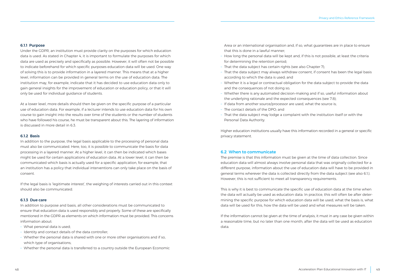#### <span id="page-24-0"></span>6.1.1 Purpose

Under the GDPR, an institution must provide clarity on the purposes for which education data is used. As stated in Chapter 4, it is important to formulate the purposes for which data are used as precisely and specifically as possible. However, it will often not be possible to indicate beforehand for which specific purposes education data will be used. One way of solving this is to provide information in a layered manner. This means that at a higher level, information can be provided in general terms on the use of education data. The institution may, for example, indicate that it has decided to use education data only to gain general insights for the improvement of education or education policy, or that it will only be used for individual guidance of students.

At a lower level, more details should then be given on the specific purpose of a particular use of education data. For example, if a lecturer intends to use education data for his own course to gain insight into the results over time of the students or the number of students who have followed his course, he must be transparent about this. The layering of information is discussed in more detail in 6.3.

#### 6.1.2 Basis

In addition to the purpose, the legal basis applicable to the processing of personal data must also be communicated. Here, too, it is possible to communicate the basis for data processing in a layered manner. At a higher level, it can then be indicated which bases might be used for certain applications of education data. At a lower level, it can then be communicated which basis is actually used for a specific application, for example, that an institution has a policy that individual interventions can only take place on the basis of consent.

If the legal basis is 'legitimate interest', the weighing of interests carried out in this context should also be communicated.

#### 6.1.3 Due care

In addition to purpose and basis, all other considerations must be communicated to ensure that education data is used responsibly and properly. Some of these are specifically mentioned in the GDPR as elements on which information must be provided. This concerns information about:

- What personal data is used;
- Identity and contact details of the data controller;
- Whether the personal data is shared with one or more other organisations and if so, which type of organisations;
- Whether the personal data is transferred to a country outside the European Economic

Area or an international organisation and, if so, what guarantees are in place to ensure that this is done in a lawful manner;

- How long the personal data will be kept and, if this is not possible, at least the criteria for determining the retention period;
- That the data subject has certain rights (see also Chapter 7);
- That the data subject may always withdraw consent, if consent has been the legal basis according to which the data is used; and
- Whether it is a legal or contractual obligation for the data subject to provide the data and the consequences of not doing so;
- Whether there is any automated decision-making and if so, useful information about the underlying rationale and the expected consequences (see 7.8);
- If data from another source/processor are used, what the source is;
- The contact details of the DPO: and
- That the data subject may lodge a complaint with the institution itself or with the Personal Data Authority.

Higher education institutions usually have this information recorded in a general or specific privacy statement.

#### 6.2 When to communicate

The premise is that this information must be given at the time of data collection. Since education data will almost always involve personal data that was originally collected for a different purpose, information about the use of education data will have to be provided in general terms wherever the data is collected directly from the data subject (see also 6.1.). However, this is not sufficient to meet all transparency requirements.

This is why it is best to communicate the specific use of education data at the time when the data will actually be used as education data. In practice, this will often be after determining the specific purpose for which education data will be used, what the basis is, what data will be used for this, how the data will be used and what measures will be taken.

If the information cannot be given at the time of analysis, it must in any case be given within a reasonable time, but no later than one month, after the data will be used as education data.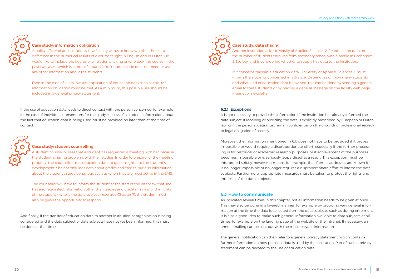<span id="page-25-0"></span>

#### Case study: information obligation

A policy officer of an institution's Law Faculty wants to know whether there is a difference in the numerical results of a course taught in English and in Dutch. He would like to include the figures of all students taking or who took this course in the past two years, which is a total of around 2,000 students. He does not need or use any other information about the students.

Even in the case of a less invasive application of education data such as this, the information obligation must be met. As a minimum, this possible use should be included in a general privacy statement.

If the use of education data leads to direct contact with the person concerned, for example in the case of individual interventions for the study success of a student, information about the fact that education data is being used must be provided no later than at the time of contact.



#### Case study: student counselling

A student counsellor sees that a student has requested a meeting with her because the student is having problems with their studies. In order to prepare for the meeting properly, the counsellor uses education data to gain insight into the student's development. She not only uses data about grades and credits, but also information about the student's study behaviour, such as when they are most active in the LMS.

The counsellor will have to inform the student at the start of the interview that she has also requested information other than grades and credits. In view of the rights of the student – who is the data subject – (see also Chapter 7), the student must also be given the opportunity to respond..

And finally, if the transfer of education data to another institution or organisation is being considered and the data subject or data subjects have not yet been informed, this must be done at that time.



#### Case study: data sharing

Another institution asks University of Applied Sciences X for education data on the number of students enrolling from secondary school with a profile in Economics & Society, and is considering whether to supply this data to the institution.

If it concerns traceable education data, University of Applied Sciences X must inform the students concerned in advance. Depending on how many students and what kind of education data is involved, this can be done by sending a general email to these students or by placing a general message on the faculty web page, intranet or newsletter.

#### 6.2.1 Exceptions

It is not necessary to provide the information if the institution has already informed the data subject, if receiving or providing the data is explicitly prescribed by European or Dutch law, or if the personal data must remain confidential on the grounds of professional secrecy or legal obligation of secrecy.

Moreover, the information mentioned in 6.1. does not have to be provided if it proves impossible or would require a disproportionate effort, especially if the further processing is for historical or academic research purposes, or if achievement of the purposes becomes impossible or is seriously jeopardised as a result. This exception must be interpreted strictly, however. It means, for example, that if email addresses are known it is no longer impossible or no longer requires a disproportionate effort to inform the data subjects. Furthermore, appropriate measures must be taken to protect the rights and interests of the data subjects.

#### 6.3 How to communicate

As indicated several times in this chapter, not all information needs to be given at once. This may also be done in a layered manner, for example by providing very general information at the time the data is collected from the data subjects, such as during enrolment. It is also a good idea to make such general information available to data subjects at all times, for example on the landing page of the website or the intranet. If necessary, an annual mailing can be sent out with the most relevant information.

The general notification can then refer to a general privacy statement, which contains further information on how personal data is used by the institution. Part of such a privacy statement can be devoted to the use of education data.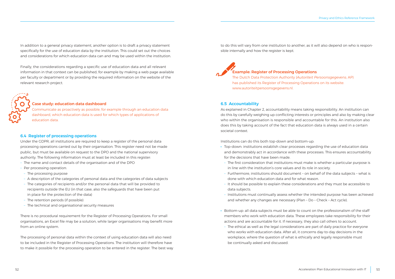<span id="page-26-0"></span>In addition to a general privacy statement, another option is to draft a privacy statement specifically for the use of education data by the institution. This could set out the choices and considerations for which education data can and may be used within the institution.

Finally, the considerations regarding a specific use of education data and all relevant information in that context can be published, for example by making a web page available per faculty or department or by providing the required information on the website of the relevant research project.

#### Case study: education data dashboard

Communicate as proactively as possible, for example through an education data dashboard, which education data is used for which types of applications of education data.

#### 6.4 Register of processing operations

Under the GDPR, all institutions are required to keep a register of the personal data processing operations carried out by their organisation. This register need not be made public, but must be available on request to the DPO and the national supervisory authority. The following information must at least be included in this register:

- The name and contact details of the organisation and of the DPO
- Per processing operation:
- The processing purpose
- A description of the categories of personal data and the categories of data subjects
- The categories of recipients and/or the personal data that will be provided to recipients outside the EU (in that case, also the safeguards that have been put in place for the protection of the data)
- The retention periods (if possible)
- The technical and organisational security measures

There is no procedural requirement for the Register of Processing Operations. For small organisations, an Excel file may be a solution, while larger organisations may benefit more from an online system.

The processing of personal data within the context of using education data will also need to be included in the Register of Processing Operations. The institution will therefore have to make it possible for the processing operation to be entered in the register. The best way to do this will vary from one institution to another, as it will also depend on who is responsible internally and how the register is kept.



#### Example: Register of Processing Operations

The Dutch Data Protection Authority (*Autoriteit Persoonsgegevens*; AP) has published its Register of Processing Operations on its website: www.autoriteitpersoonsgegevens.nl.

#### 6.5 Accountability

As explained in Chapter 2, accountability means taking responsibility. An institution can do this by carefully weighing up conflicting interests or principles and also by making clear who within the organisation is responsible and accountable for this. An institution also does this by taking account of the fact that education data is always used in a certain societal context.

Institutions can do this both top-down and bottom-up:

- · Top-down: institutions establish clear processes regarding the use of education data and demonstrably act in accordance with these processes. This ensures accountability for the decisions that have been made.
- The first consideration that institutions must make is whether a particular purpose is in line with the institution's core values and its role in society.
- Furthermore, institutions should document on behalf of the data subjects what is done with which education data and for what reason.
- It should be possible to explain these considerations and they must be accessible to data subjects.
- Institutions must continually assess whether the intended purpose has been achieved and whether any changes are necessary (Plan – Do – Check – Act cycle).
- · Bottom-up: all data subjects must be able to count on the professionalism of the staff members who work with education data. These employees take responsibility for their actions and are accountable for it. If necessary, they also call others to account.
- The ethical as well as the legal considerations are part of daily practice for everyone who works with education data. After all, it concerns day-to-day decisions in the workplace, where the question of what is ethically and legally responsible must be continually asked and discussed.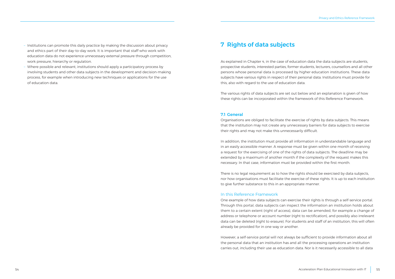- <span id="page-27-0"></span>- Institutions can promote this daily practice by making the discussion about privacy and ethics part of their day-to-day work. It is important that staff who work with education data do not experience unnecessary external pressure through competition, work pressure, hierarchy or regulation.
- Where possible and relevant, institutions should apply a participatory process by involving students and other data subjects in the development and decision-making process, for example when introducing new techniques or applications for the use of education data.

### 7 Rights of data subjects

As explained in Chapter 4, in the case of education data the data subjects are students, prospective students, interested parties, former students, lecturers, counsellors and all other persons whose personal data is processed by higher education institutions. These data subjects have various rights in respect of their personal data. Institutions must provide for this, also with regard to the use of education data.

The various rights of data subjects are set out below and an explanation is given of how these rights can be incorporated within the framework of this Reference Framework.

#### 7.1 General

Organisations are obliged to facilitate the exercise of rights by data subjects. This means that the institution may not create any unnecessary barriers for data subjects to exercise their rights and may not make this unnecessarily difficult.

In addition, the institution must provide all information in understandable language and in an easily accessible manner. A response must be given within one month of receiving a request for the exercising of one of the rights of data subjects. The deadline may be extended by a maximum of another month if the complexity of the request makes this necessary. In that case, information must be provided within the first month.

There is no legal requirement as to how the rights should be exercised by data subjects, nor how organisations must facilitate the exercise of these rights. It is up to each institution to give further substance to this in an appropriate manner.

#### In this Reference Framework

One example of how data subjects can exercise their rights is through a self-service portal. Through this portal, data subjects can inspect the information an institution holds about them to a certain extent (right of access), data can be amended, for example a change of address or telephone or account number (right to rectification), and possibly also irrelevant data can be deleted (right to erasure). For students and staff of an institution, this will often already be provided for in one way or another.

However, a self-service portal will not always be sufficient to provide information about all the personal data that an institution has and all the processing operations an institution carries out, including their use as education data. Nor is it necessarily accessible to all data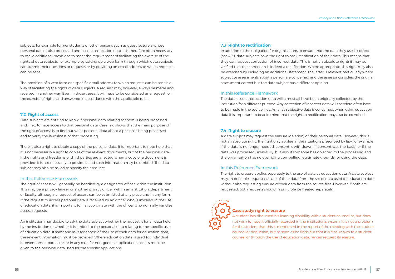<span id="page-28-0"></span>subjects, for example former students or other persons such as guest lecturers whose personal data is also processed and used as education data. It is therefore often necessary to make additional provisions to meet the requirement of facilitating the exercise of the rights of data subjects, for example by setting up a web form through which data subjects can submit their questions or requests or by providing an email address to which requests can be sent.

The provision of a web form or a specific email address to which requests can be sent is a way of facilitating the rights of data subjects. A request may, however, always be made and received in another way. Even in those cases, it will have to be considered as a request for the exercise of rights and answered in accordance with the applicable rules.

#### 7.2 Right of access

Data subjects are entitled to know if personal data relating to them is being processed and, if so, to have access to that personal data. Case law shows that the main purpose of the right of access is to find out what personal data about a person is being processed and to verify the lawfulness of that processing.

There is also a right to obtain a copy of the personal data. It is important to note here that it is not necessarily a right to copies of the relevant documents, but of the personal data. If the rights and freedoms of third parties are affected when a copy of a document is provided, it is not necessary to provide it and such information may be omitted. The data subject may also be asked to specify their request.

#### In this Reference Framework

The right of access will generally be handled by a designated officer within the institution. This may be a privacy lawyer or another privacy officer within an institution, department or faculty, although, a request of access can be submitted at any place and in any form. If the request to access personal data is received by an officer who is involved in the use of education data, it is important to first coordinate with the officer who normally handles access requests.

An institution may decide to ask the data subject whether the request is for all data held by the institution or whether it is limited to the personal data relating to the specific use of education data. If someone asks for access of the use of their data for education data, the relevant information must be provided. Where education data is used for individual interventions in particular, or in any case for non-general applications, access must be given to the personal data used for the specific applications.

#### 7.3 Right to rectification

In addition to the obligation for organisations to ensure that the data they use is correct (see 4.3.), data subjects have the right to seek rectification of their data. This means that they can request correction of incorrect data. This is not an absolute right; it may be verified that the correction is indeed a rectification. Where appropriate, this right may also be exercised by including an additional statement. The latter is relevant particularly where subjective assessments about a person are concerned and the assessor considers the original assessment correct but the data subject has a different opinion.

#### In this Reference Framework

The data used as education data will almost all have been originally collected by the institution for a different purpose. Any correction of incorrect data will therefore often have to be made in the source files. As far as subjective data is concerned, when using education data it is important to bear in mind that the right to rectification may also be exercised.

#### 7.4 Right to erasure

A data subject may request the erasure (deletion) of their personal data. However, this is not an absolute right. The right only applies in the situations prescribed by law, for example if the data is no longer needed, consent is withdrawn (if consent was the basis) or if the data was processed unlawfully, but also if someone has objected to the processing and the organisation has no overriding compelling legitimate grounds for using the data.

#### In this Reference Framework

The right to erasure applies separately to the use of data as education data. A data subject may, in principle, request erasure of their data from the set of data used for education data without also requesting erasure of their data from the source files. However, if both are requested, both requests should in principle be treated separately.



### Case study: right to erasure

A student has discussed his learning disability with a student counsellor, but does not wish to have it officially recorded in the institution's system. It is not a problem for the student that this is mentioned in the report of the meeting with the student counsellor discussion, but as soon as he finds out that it is also known to a student counsellor through the use of education data, he can request its erasure.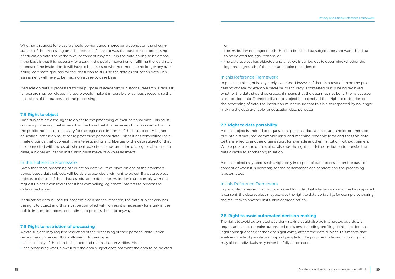<span id="page-29-0"></span>Whether a request for erasure should be honoured, moreover, depends on the circumstances of the processing and the request. If consent was the basis for the processing of education data, the withdrawal of consent may result in the data having to be erased. If the basis is that it is necessary for a task in the public interest or for fulfilling the legitimate interest of the institution, it will have to be assessed whether there are no longer any overriding legitimate grounds for the institution to still use the data as education data. This assessment will have to be made on a case-by-case basis.

If education data is processed for the purpose of academic or historical research, a request for erasure may be refused if erasure would make it impossible or seriously jeopardise the realisation of the purposes of the processing.

#### 7.5 Right to object

Data subjects have the right to object to the processing of their personal data. This must concern processing that is based on the basis that it is 'necessary for a task carried out in the public interest' or 'necessary for the legitimate interests of the institution'. A higher education institution must cease processing personal data unless it has compelling legitimate grounds that outweigh the interests, rights and liberties of the data subject or that are connected with the establishment, exercise or substantiation of a legal claim. In such cases, a higher education institution must make its own assessment.

#### In this Reference Framework

Given that most processing of education data will take place on one of the aforementioned bases, data subjects will be able to exercise their right to object. If a data subject objects to the use of their data as education data, the institution must comply with this request unless it considers that it has compelling legitimate interests to process the data nonetheless.

If education data is used for academic or historical research, the data subject also has the right to object and this must be complied with, unless it is necessary for a task in the public interest to process or continue to process the data anyway.

#### 7.6 Right to restriction of processing

A data subject may request restriction of the processing of their personal data under certain circumstances. This is allowed if, for example:

- the accuracy of the data is disputed and the institution verifies this; or
- the processing was unlawful but the data subject does not want the data to be deleted;

or

- the institution no longer needs the data but the data subject does not want the data to be deleted for legal reasons; or
- the data subject has objected and a review is carried out to determine whether the legitimate grounds of the institution take precedence.

#### In this Reference Framework

In practice, this right is very rarely exercised. However, if there is a restriction on the processing of data, for example because its accuracy is contested or it is being reviewed whether the data should be erased, it means that the data may not be further processed as education data. Therefore, if a data subject has exercised their right to restriction on the processing of data, the institution must ensure that this is also respected by no longer making the data available for education data purposes.

#### 7.7 Right to data portability

A data subject is entitled to request that personal data an institution holds on them be put into a structured, commonly used and machine-readable form and that this data be transferred to another organisation, for example another institution, without barriers. Where possible, the data subject also has the right to ask the institution to transfer the data directly to another organisation.

A data subject may exercise this right only in respect of data processed on the basis of consent or when it is necessary for the performance of a contract and the processing is automated.

#### In this Reference Framework

In particular, when education data is used for individual interventions and the basis applied is consent, the data subject may exercise the right to data portability, for example by sharing the results with another institution or organisation.

#### 7.8 Right to avoid automated decision-making

The right to avoid automated decision-making could also be interpreted as a duty of organisations not to make automated decisions, including profiling, if this decision has legal consequences or otherwise significantly affects the data subject. This means that analyses made of people or groups of people for the purpose of decision-making that may affect individuals may never be fully automated.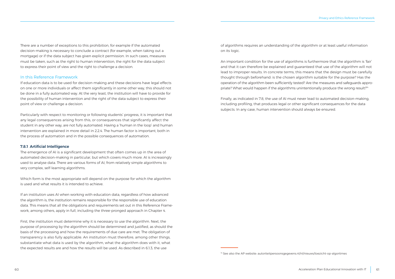<span id="page-30-0"></span>There are a number of exceptions to this prohibition, for example if the automated decision-making is necessary to conclude a contract (for example, when taking out a mortgage) or if the data subject has given explicit permission. In such cases, measures must be taken, such as the right to human intervention, the right for the data subject to express their point of view and the right to challenge a decision.

#### In this Reference Framework

If education data is to be used for decision-making and these decisions have legal effects on one or more individuals or affect them significantly in some other way, this should not be done in a fully automated way. At the very least, the institution will have to provide for the possibility of human intervention and the right of the data subject to express their point of view or challenge a decision.

Particularly with respect to monitoring or following students' progress, it is important that any legal consequences arising from this, or consequences that significantly affect the student in any other way, are not fully automated. Having a 'human in the loop' and human intervention are explained in more detail in 2.2.4. The human factor is important, both in the process of automation and in the possible consequences of automation.

#### 7.8.1 Artificial Intelligence

The emergence of AI is a significant development that often comes up in the area of automated decision-making in particular, but which covers much more. AI is increasingly used to analyse data. There are various forms of AI, from relatively simple algorithms to very complex, self-learning algorithms.

Which form is the most appropriate will depend on the purpose for which the algorithm is used and what results it is intended to achieve.

If an institution uses AI when working with education data, regardless of how advanced the algorithm is, the institution remains responsible for the responsible use of education data. This means that all the obligations and requirements set out in this Reference Framework, among others, apply in full, including the three-pronged approach in Chapter 4.

First, the institution must determine why it is necessary to use the algorithm. Next, the purpose of processing by the algorithm should be determined and justified, as should the basis of the processing and how the requirements of due care are met. The obligation of transparency is also fully applicable. An institution must therefore, among other things, substantiate what data is used by the algorithm, what the algorithm does with it, what the expected results are and how the results will be used. As described in 6.1.3, the use

of algorithms requires an understanding of the algorithm or at least useful information on its logic.

An important condition for the use of algorithms is furthermore that the algorithm is 'fair' and that it can therefore be explained and guaranteed that use of the algorithm will not lead to improper results. In concrete terms, this means that the design must be carefully thought through beforehand: is the chosen algorithm suitable for the purpose? Has the operation of the algorithm been sufficiently tested? Are the measures and safeguards appropriate? What would happen if the algorithms unintentionally produce the wrong result?<sup>14</sup>

Finally, as indicated in 7.8, the use of AI must never lead to automated decision-making, including profiling, that produces legal or other significant consequences for the data subjects. In any case, human intervention should always be ensured.

<sup>&</sup>lt;sup>14</sup> See also the AP website: autoriteitpersoonsgegevens.nl/nl/nieuws/toezicht-op-algoritmes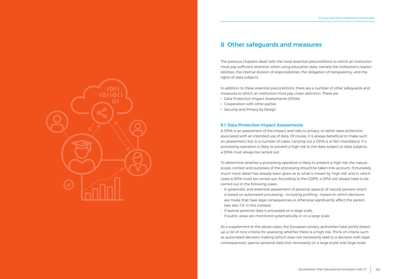<span id="page-31-0"></span>

### 8 Other safeguards and measures

The previous chapters dealt with the most essential preconditions to which an institution must pay sufficient attention when using education data, namely the institution's responsibilities, the internal division of responsibilities, the obligation of transparency, and the rights of data subjects.

In addition to these essential preconditions, there are a number of other safeguards and measures to which an institution must pay closer attention. These are:

- · Data Protection Impact Assessments (DPIAs)
- · Cooperation with other parties
- · Security and Privacy by Design

#### 8.1 Data Protection Impact Assessments

A DPIA is an assessment of the impact and risks to privacy, or rather data protection, associated with an intended use of data. Of course, it is always beneficial to make such an assessment, but in a number of cases, carrying out a DPIA is in fact mandatory. If a processing operation is likely to present a high risk to the data subject or data subjects, a DPIA must always be carried out.

To determine whether a processing operation is likely to present a high risk, the nature, scope, context and purposes of the processing should be taken into account. Fortunately, much more detail has already been given as to what is meant by 'high risk' and in which cases a DPIA must be carried out. According to the GDPR, a DPIA will always have to be carried out in the following cases:

- A systematic and extensive assessment of personal aspects of natural persons which is based on automated processing – including profiling – based on which decisions are made that have legal consequences or otherwise significantly affect the person (see also 7.8. in this context).
- If special personal data is processed on a large scale.
- If public areas are monitored systematically or on a large scale.

As a supplement to the above cases, the European privacy authorities have jointly drawn up a list of nine criteria for assessing whether there is a high risk. Think of criteria such as automated decision-making (which does not necessarily lead to a decision with legal consequences), special personal data (not necessarily on a large scale) and large-scale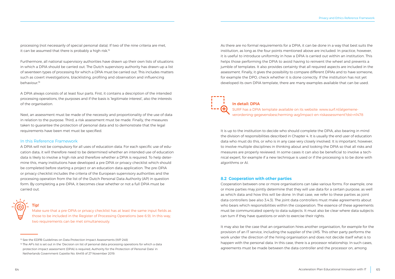<span id="page-32-0"></span>processing (not necessarily of special personal data). If two of the nine criteria are met, it can be assumed that there is probably a high risk.<sup>15</sup>

Furthermore, all national supervisory authorities have drawn up their own lists of situations in which a DPIA should be carried out. The Dutch supervisory authority has drawn up a list of seventeen types of processing for which a DPIA must be carried out. This includes matters such as covert investigations, blacklisting, profiling and observation and influencing behaviour.16

A DPIA always consists of at least four parts. First, it contains a description of the intended processing operations, the purposes and if the basis is 'legitimate interest', also the interests of the organisation.

Next, an assessment must be made of the necessity and proportionality of the use of data in relation to the purpose. Third, a risk assessment must be made. Finally, the measures taken to guarantee the protection of personal data and to demonstrate that the legal requirements have been met must be specified.

#### In this Reference Framework

A DPIA will not be compulsory for all uses of education data. For each specific use of education data, it will therefore need to be determined whether an intended use of education data is likely to involve a high risk and therefore whether a DPIA is required. To help determine this, many institutions have developed a pre DPIA or privacy checklist which should be completed before starting a project or an education data application. The pre-DPIA or privacy checklist includes the criteria of the European supervisory authorities and the processing operation from the list of the Dutch Personal Data Authority (AP) in question form. By completing a pre-DPIA, it becomes clear whether or not a full DPIA must be carried out.

Tip! Make sure that a pre-DPIA or privacy checklist has at least the same input fields as those to be included in the Register of Processing Operations (see 6.9). In this way, two requirements can be met simultaneously.

As there are no formal requirements for a DPIA, it can be done in a way that best suits the institution, as long as the four points mentioned above are included. In practice, however, it is useful to introduce uniformity in how a DPIA is carried out within an institution. This helps those performing the DPIA to avoid having to reinvent the wheel and prevents a jumble of templates. It also provides certainty that all required aspects are included in the assessment. Finally, it gives the possibility to compare different DPIAs and to have someone, for example the DPO, check whether it is done correctly. If the institution has not yet developed its own DPIA template, there are many examples available that can be used.

## In detail: DPIA

SURF has a DPIA template available on its website: [www.surf.nl/algemene](https://www.surf.nl/algemene-verordening-gegevensbescherming-avg/impact-en-riskassessment?dst=n1478)[verordening-gegevensbescherming-avg/impact-en-riskassessment?dst=n1478](https://www.surf.nl/algemene-verordening-gegevensbescherming-avg/impact-en-riskassessment?dst=n1478)

It is up to the institution to decide who should complete the DPIA, also bearing in mind the division of responsibilities described in Chapter 4. It is usually the end user of education data who must do this, or who is in any case very closely involved. It is important, however, to involve multiple disciplines in thinking about and looking the DPIA so that all risks and measures are properly reviewed. In some cases it can also be beneficial to involve a technical expert, for example if a new technique is used or if the processing is to be done with algorithms or AI.

#### 8.2 Cooperation with other parties

Cooperation between one or more organisations can take various forms. For example, one or more parties may jointly determine that they will use data for a certain purpose, as well as which data and how this will be done. In that case, we refer to these parties as joint data controllers (see also 3.4.3). The joint data controllers must make agreements about who bears which responsibilities within the cooperation. The essence of these agreements must be communicated openly to data subjects. It must also be clear where data subjects can turn if they have questions or wish to exercise their rights.

It may also be the case that an organisation hires another organisation, for example for the provision of an IT service, including the supplier of the LMS. This other party performs the work under the direction of the hiring organisation and does not decide itself what is to happen with the personal data. In this case, there is a processor relationship. In such cases, agreements must be made between the data controller and the processor on, among

<sup>&</sup>lt;sup>15</sup> See the EDPB Guidelines on Data Protection Impact Assessments (WP 248)

<sup>&</sup>lt;sup>16</sup> The AP's list is set out in the 'Decision on list of personal data processing operations for which a data protection impact assessment (DPIA) is required, Authority for the Protection of Personal Data' in Netherlands Government Gazette No. 64418 of 27 November 2019.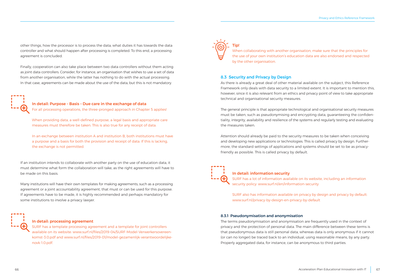<span id="page-33-0"></span>other things, how the processor is to process the data, what duties it has towards the data controller and what should happen after processing is completed. To this end, a processing agreement is concluded.

Finally, cooperation can also take place between two data controllers without them acting as joint data controllers. Consider, for instance, an organisation that wishes to use a set of data from another organisation, while the latter has nothing to do with the actual processing. In that case, agreements can be made about the use of the data, but this is not mandatory.



In detail: Purpose – Basis – Due care in the exchange of data For all processing operations, the three-pronged approach in Chapter 5 applies!

When providing data, a well-defined purpose, a legal basis and appropriate care measures must therefore be taken. This is also true for any receipt of data.

In an exchange between institution A and institution B, both institutions must have a purpose and a basis for both the provision and receipt of data. If this is lacking, the exchange is not permitted.

If an institution intends to collaborate with another party on the use of education data, it must determine what form the collaboration will take, as the right agreements will have to be made on this basis.

Many institutions will have their own templates for making agreements, such as a processing agreement or a joint accountability agreement, that must or can be used for this purpose. If agreements have to be made, it is highly recommended and perhaps mandatory for some institutions to involve a privacy lawyer.



#### In detail: processing agreement

SURF has a template processing agreement and a template for joint controllers available on its website: [www.surf.nl/files/2019-04/SURF-Model-Verwerkersovereen](https://www.surf.nl/files/2019-04/SURF-Model-Verwerkersovereenkomst-3.0.pdf)[komst-3.0.pdf](https://www.surf.nl/files/2019-04/SURF-Model-Verwerkersovereenkomst-3.0.pdf) and [www.surf.nl/files/2019-01/model-gezamenlijk-verantwoordelijke](https://www.surf.nl/files/2019-01/model-gezamenlijk-verantwoordelijkenovk-1.0.pdf)[novk-1.0.pdf.](https://www.surf.nl/files/2019-01/model-gezamenlijk-verantwoordelijkenovk-1.0.pdf)



When collaborating with another organisation, make sure that the principles for the use of your own institution's education data are also endorsed and respected by the other organisation.

#### 8.3 Security and Privacy by Design

As there is already a great deal of other material available on the subject, this Reference Framework only deals with data security to a limited extent. It is important to mention this, however, since it is also relevant from an ethics and privacy point of view to take appropriate technical and organisational security measures.

The general principle is that appropriate technological and organisational security measures must be taken, such as pseudonymising and encrypting data, guaranteeing the confidentiality, integrity, availability and resilience of the systems and regularly testing and evaluating the measures taken.

Attention should already be paid to the security measures to be taken when conceiving and developing new applications or technologies. This is called privacy by design. Furthermore, the standard settings of applications and systems should be set to be as privacyfriendly as possible. This is called privacy by default.



#### In detail: information security

SURF has a lot of information available on its website, including an information security policy: www.surf.nl/en/information-security

SURF also has information available on privacy by design and privacy by default: www.surf.nl/privacy-by-design-en-privacy-by-default

#### 8.3.1 Pseudonymisation and anonymisation

The terms pseudonymisation and anonymisation are frequently used in the context of privacy and the protection of personal data. The main difference between these terms is that pseudonymous data is still personal data, whereas data is only anonymous if it cannot (or can no longer) be traced back to an individual, using reasonable means, by any party. Properly aggregated data, for instance, can be anonymous to third parties.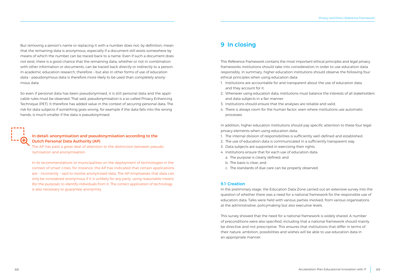<span id="page-34-0"></span>But removing a person's name or replacing it with a number does not, by definition, mean that the remaining data is anonymous, especially if a document still exists somewhere by means of which the number can be traced back to a name. Even if such a document does not exist, there is a good chance that the remaining data, whether or not in combination with other information or documents, can be traced back directly or indirectly to a person. In academic education research, therefore – but also in other forms of use of education data – pseudonymous data is therefore more likely to be used than completely anonymous data.

So even if personal data has been pseudonymised, it is still personal data and the applicable rules must be observed. That said, pseudonymisation is a so-called Privacy Enhancing Technique (PET). It therefore has added value in the context of securing personal data. The risk for data subjects if something goes wrong, for example if the data falls into the wrong hands, is much smaller if the data is pseudonymised.



### In detail: anonymisation and pseudonymisation according to the Dutch Personal Data Authority (AP)

The AP has paid a great deal of attention to the distinction between pseudonymisation and anonymisation.

In its recommendations to municipalities on the deployment of technologies in the context of smart cities, for instance, the AP has indicated that certain applications are – incorrectly – said to involve anonymised data. The AP emphasises that data can only be considered anonymous if it is unlikely for any party, using reasonable means (for the purpose), to identify individuals from it. The correct application of technology is also necessary to guarantee anonymity.

## 9 In closing

This Reference Framework contains the most important ethical principles and legal privacy frameworks institutions should take into consideration in order to use education data responsibly. In summary, higher education institutions should observe the following four ethical principles when using education data:

- 1. Institutions are accountable for and transparent about the use of education data and they account for it.
- 2. Whenever using education data, institutions must balance the interests of all stakeholders and data subjects in a fair manner.
- 3. Institutions should ensure that the analyses are reliable and valid.
- 4. There is always room for the human factor, even where institutions use automatic processes.

In addition, higher education institutions should pay specific attention to these four legal privacy elements when using education data:

- 1. The internal division of responsibilities is sufficiently well-defined and established.
- 2. The use of education data is communicated in a sufficiently transparent way.
- 3. Data subjects are supported in exercising their rights.
- 4. Institutions ensure that for each use of education data:
	- a. The purpose is clearly defined; and
	- b. The basis is clear; and
	- c. The standards of due care can be properly observed.

#### 9.1 Creation

In the preliminary stage, the Education Data Zone carried out an extensive survey into the question of whether there was a need for a national framework for the responsible use of education data. Talks were held with various parties involved, from various organisations at the administrative, policymaking but also executive levels.

This survey showed that the need for a national framework is widely shared. A number of preconditions were also specified, including that a national framework should mainly be directive and not prescriptive. This ensures that institutions that differ in terms of their nature, ambition, possibilities and wishes will be able to use education data in an appropriate manner.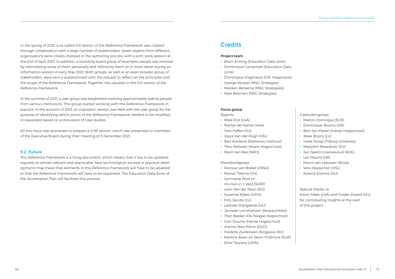<span id="page-35-0"></span>In the spring of 2021, a so-called 0.8 version of the Reference Framework was created through collaboration with a large number of stakeholders. Seven experts from different organisations were closely involved in the authoring process, with a joint work session at the end of April 2021. In addition, a sounding board group of seventeen people was involved by interviewing some of them personally and informing them all in more detail during an information session in early May 2021. Both groups, as well as an even broader group of stakeholders, were sent a questionnaire with the request to reflect on the principles and the scope of the Reference Framework. Together, this resulted in the 0.8 version of the Reference Framework.

In the summer of 2021, a user group was established involving approximately twenty people from various institutions. This group started working with the Reference Framework in practice. In the autumn of 2021, an inspiration session was held with the user group for the purpose of identifying which points of the Reference Framework needed to be modified or expanded based on a discussion of case studies.

All this input was processed to prepare a 0.99 version, which was presented to members of the Executive Board during their meeting of 3 December 2021.

#### 9.2 Future

This Reference Framework is a living document, which means that it has to be updated regularly to remain relevant and practicable. New technological, societal or practical developments may mean that elements in this Reference Framework will have to be adapted or that the Reference Framework will have to be expanded. The Education Data Zone of the Acceleration Plan will facilitate this process.

### **Credits**

#### Project team

- · Bram Enning (Education Data zone)
- · Dominique Campman (Education Data zone)
- · Dominique Hagenauw (D.E. Hagenauw)
- · George Wurpel (MSG Strategies)
- · Mariken Betsema (MSG Strategies))
- · Niek Reijmers (MSG Strategies)

#### Focus group

*Experts:* 

- · Miek Krol (UvA)
- · Martijn de Hamer (HvA)
- · Tom Paffen (VU)
- · Joyce Van der Klugt (HSL)
- · Bart Karstens (Rathenau instituut)
- · Theo Nelissen (Avans Hogeschool)
- · Marit Van Ree (NRO)

#### *Klankbordgroep:*

- · Reinout van Brakel (VSNU)
- · Marcel Tillema (VH)
- · Germaine Poot en Iris Huis in 't Veld (SURF)
- · Leon Van der Neut (ISO)
- · Susanne Rijken (IvhO)
- · Frits Jacobs (LU)
- · Leoniek Wijngaards (UU)
- · Janneke Lommertzen (ResearchNed)
- · Theo Bakker (De Haagse Hogeschool)
- · Gert Douma (Hanze Hogeschool)
- · Aramis Jean Pierre (DUO)
- · Frederik Zuiderveen Borgesius (RU)
- · Martine Baars en Jason Pridmore (EUR)
- · Eline Terpstra (LSVb)

### *Gebruikersgroep:*

- · Marlon Domingus (EUR)
- · Dominique Booms (HR)
- · Bert-Jan Klaren (Hanze Hogeschool)
- · Jesse Bruins (LU)
- · Ineke Stoop (Tilburg University)
- · Marjolein Blaauboer (VU)
- · Jan Tjeerd Groenewoud (RUG)
- · Lex Freund (HR)
- · Marco van Leeuwen (BUas)
- · Vera Heusschen (HSL)
- · Roland Ettema (OU)

Special thanks to Karen Maex (UvA) and Tineke Zweed (HU) for contributing insights at the start of this project.